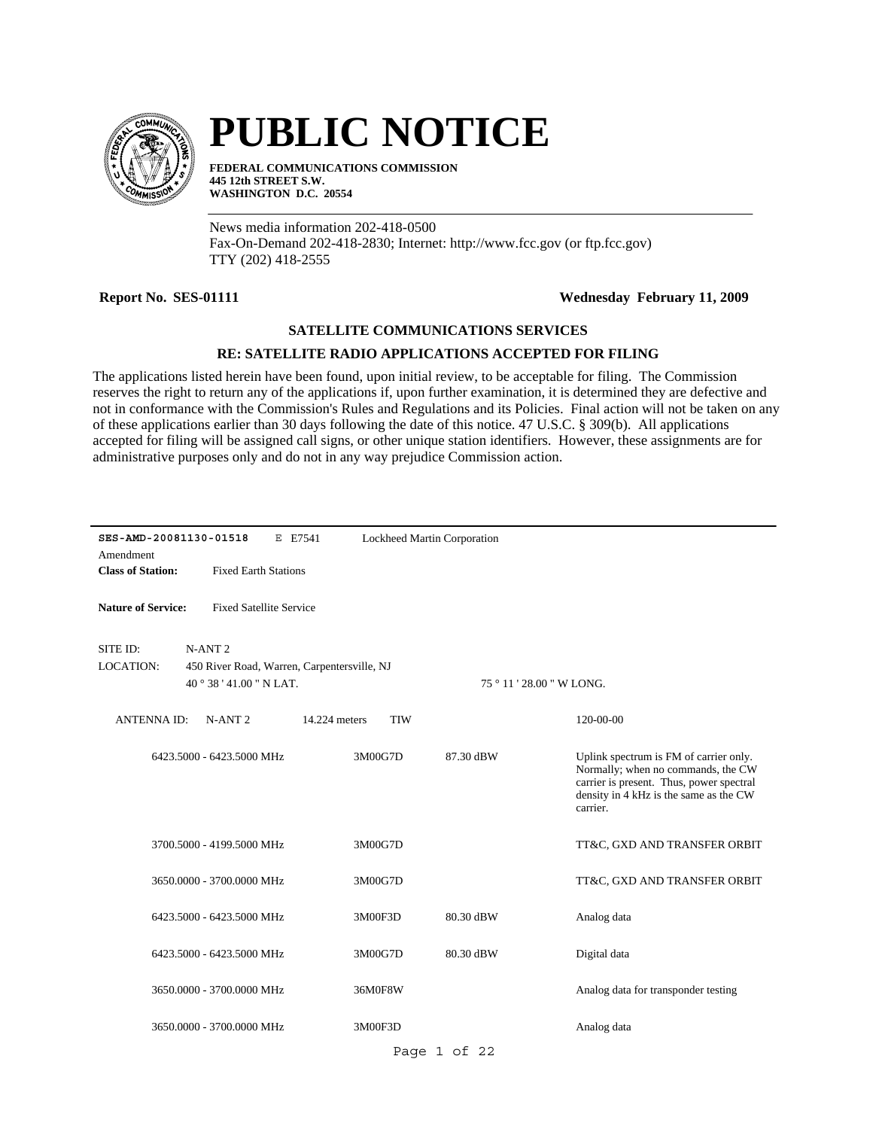

# **PUBLIC NOTICE**

**FEDERAL COMMUNICATIONS COMMISSION 445 12th STREET S.W. WASHINGTON D.C. 20554**

News media information 202-418-0500 Fax-On-Demand 202-418-2830; Internet: http://www.fcc.gov (or ftp.fcc.gov) TTY (202) 418-2555

## **Report No. SES-01111 Wednesday February 11, 2009**

## **SATELLITE COMMUNICATIONS SERVICES**

## **RE: SATELLITE RADIO APPLICATIONS ACCEPTED FOR FILING**

The applications listed herein have been found, upon initial review, to be acceptable for filing. The Commission reserves the right to return any of the applications if, upon further examination, it is determined they are defective and not in conformance with the Commission's Rules and Regulations and its Policies. Final action will not be taken on any of these applications earlier than 30 days following the date of this notice. 47 U.S.C. § 309(b). All applications accepted for filing will be assigned call signs, or other unique station identifiers. However, these assignments are for administrative purposes only and do not in any way prejudice Commission action.

| Amendment                    | SES-AMD-20081130-01518<br>E E7541<br>Lockheed Martin Corporation  |                             |              |                                                                                                                                                                                |  |  |
|------------------------------|-------------------------------------------------------------------|-----------------------------|--------------|--------------------------------------------------------------------------------------------------------------------------------------------------------------------------------|--|--|
| <b>Class of Station:</b>     | <b>Fixed Earth Stations</b>                                       |                             |              |                                                                                                                                                                                |  |  |
| <b>Nature of Service:</b>    | <b>Fixed Satellite Service</b>                                    |                             |              |                                                                                                                                                                                |  |  |
| SITE ID:<br><b>LOCATION:</b> | N-ANT <sub>2</sub><br>450 River Road, Warren, Carpentersville, NJ |                             |              |                                                                                                                                                                                |  |  |
|                              | $40^{\circ}38'41.00''$ N LAT.                                     |                             |              | 75 ° 11 ' 28.00 " W LONG.                                                                                                                                                      |  |  |
| <b>ANTENNAID:</b>            | $N-ANT 2$                                                         | 14.224 meters<br><b>TIW</b> |              | 120-00-00                                                                                                                                                                      |  |  |
|                              | 6423.5000 - 6423.5000 MHz                                         | 3M00G7D                     | 87.30 dBW    | Uplink spectrum is FM of carrier only.<br>Normally; when no commands, the CW<br>carrier is present. Thus, power spectral<br>density in 4 kHz is the same as the CW<br>carrier. |  |  |
|                              | 3700.5000 - 4199.5000 MHz                                         | 3M00G7D                     |              | TT&C, GXD AND TRANSFER ORBIT                                                                                                                                                   |  |  |
|                              | 3650,0000 - 3700,0000 MHz                                         | 3M00G7D                     |              | TT&C, GXD AND TRANSFER ORBIT                                                                                                                                                   |  |  |
|                              | 6423.5000 - 6423.5000 MHz                                         | 3M00F3D                     | 80.30 dBW    | Analog data                                                                                                                                                                    |  |  |
|                              | 6423.5000 - 6423.5000 MHz                                         | 3M00G7D                     | 80.30 dBW    | Digital data                                                                                                                                                                   |  |  |
|                              | 3650,0000 - 3700,0000 MHz                                         | 36M0F8W                     |              | Analog data for transponder testing                                                                                                                                            |  |  |
|                              | 3650,0000 - 3700,0000 MHz                                         | 3M00F3D                     |              | Analog data                                                                                                                                                                    |  |  |
|                              |                                                                   |                             | Page 1 of 22 |                                                                                                                                                                                |  |  |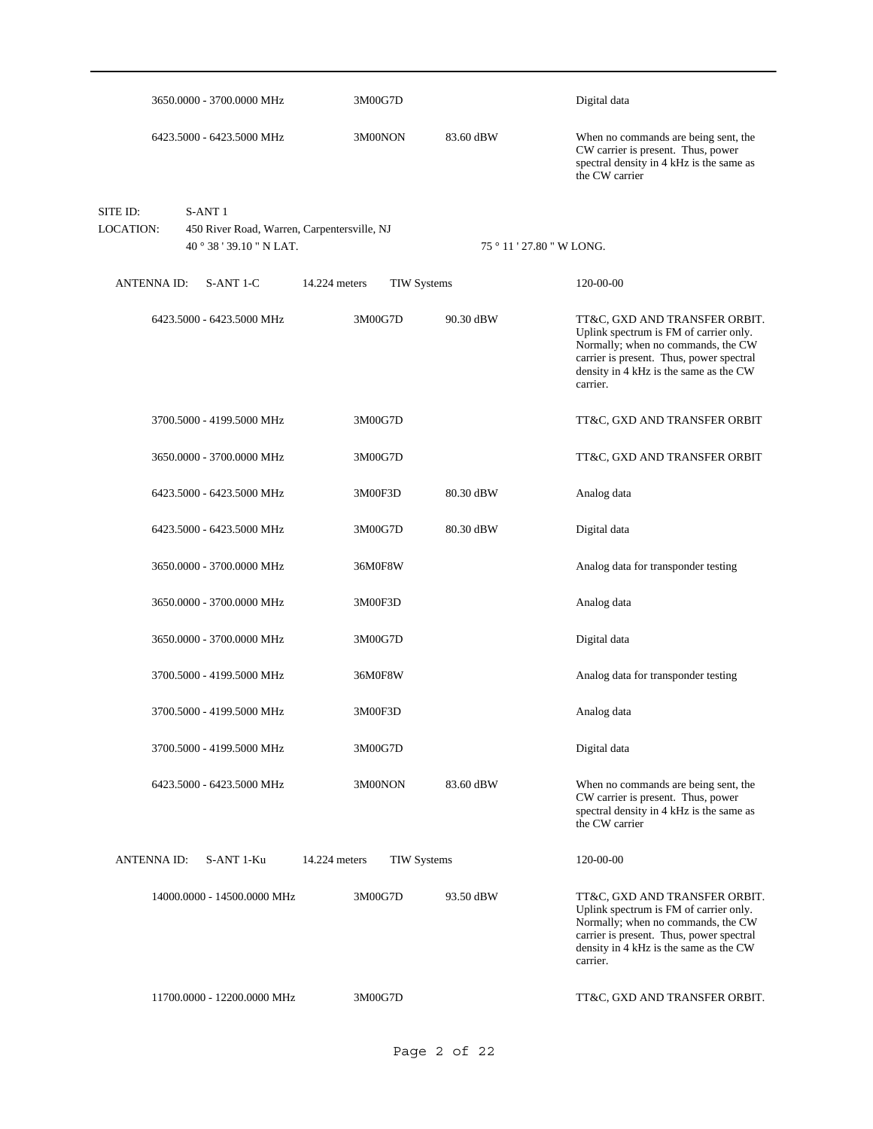|                       | 3650.0000 - 3700.0000 MHz                                                                     | 3M00G7D                             |           | Digital data                                                                                                                                                                                                    |
|-----------------------|-----------------------------------------------------------------------------------------------|-------------------------------------|-----------|-----------------------------------------------------------------------------------------------------------------------------------------------------------------------------------------------------------------|
|                       | 6423.5000 - 6423.5000 MHz                                                                     | 3M00NON                             | 83.60 dBW | When no commands are being sent, the<br>CW carrier is present. Thus, power<br>spectral density in 4 kHz is the same as<br>the CW carrier                                                                        |
| SITE ID:<br>LOCATION: | S-ANT <sub>1</sub><br>450 River Road, Warren, Carpentersville, NJ<br>40 ° 38 ' 39.10 " N LAT. |                                     |           | 75 ° 11 ' 27.80 " W LONG.                                                                                                                                                                                       |
| <b>ANTENNA ID:</b>    | S-ANT 1-C                                                                                     | 14.224 meters<br><b>TIW Systems</b> |           | 120-00-00                                                                                                                                                                                                       |
|                       | 6423.5000 - 6423.5000 MHz                                                                     | 3M00G7D                             | 90.30 dBW | TT&C, GXD AND TRANSFER ORBIT.<br>Uplink spectrum is FM of carrier only.<br>Normally; when no commands, the CW<br>carrier is present. Thus, power spectral<br>density in 4 kHz is the same as the CW<br>carrier. |
|                       | 3700.5000 - 4199.5000 MHz                                                                     | 3M00G7D                             |           | TT&C, GXD AND TRANSFER ORBIT                                                                                                                                                                                    |
|                       | 3650.0000 - 3700.0000 MHz                                                                     | 3M00G7D                             |           | TT&C, GXD AND TRANSFER ORBIT                                                                                                                                                                                    |
|                       | 6423.5000 - 6423.5000 MHz                                                                     | 3M00F3D                             | 80.30 dBW | Analog data                                                                                                                                                                                                     |
|                       | 6423.5000 - 6423.5000 MHz                                                                     | 3M00G7D                             | 80.30 dBW | Digital data                                                                                                                                                                                                    |
|                       | 3650.0000 - 3700.0000 MHz                                                                     | 36M0F8W                             |           | Analog data for transponder testing                                                                                                                                                                             |
|                       | 3650.0000 - 3700.0000 MHz                                                                     | 3M00F3D                             |           | Analog data                                                                                                                                                                                                     |
|                       | 3650.0000 - 3700.0000 MHz                                                                     | 3M00G7D                             |           | Digital data                                                                                                                                                                                                    |
|                       | 3700.5000 - 4199.5000 MHz                                                                     | 36M0F8W                             |           | Analog data for transponder testing                                                                                                                                                                             |
|                       | 3700.5000 - 4199.5000 MHz                                                                     | 3M00F3D                             |           | Analog data                                                                                                                                                                                                     |
|                       | 3700.5000 - 4199.5000 MHz                                                                     | 3M00G7D                             |           | Digital data                                                                                                                                                                                                    |
|                       | 6423.5000 - 6423.5000 MHz                                                                     | 3M00NON                             | 83.60 dBW | When no commands are being sent, the<br>CW carrier is present. Thus, power<br>spectral density in 4 kHz is the same as<br>the CW carrier                                                                        |
| <b>ANTENNA ID:</b>    | S-ANT 1-Ku                                                                                    | 14.224 meters<br><b>TIW Systems</b> |           | 120-00-00                                                                                                                                                                                                       |
|                       | 14000.0000 - 14500.0000 MHz                                                                   | 3M00G7D                             | 93.50 dBW | TT&C, GXD AND TRANSFER ORBIT.<br>Uplink spectrum is FM of carrier only.<br>Normally; when no commands, the CW<br>carrier is present. Thus, power spectral<br>density in 4 kHz is the same as the CW<br>carrier. |
|                       | 11700.0000 - 12200.0000 MHz                                                                   | 3M00G7D                             |           | TT&C, GXD AND TRANSFER ORBIT.                                                                                                                                                                                   |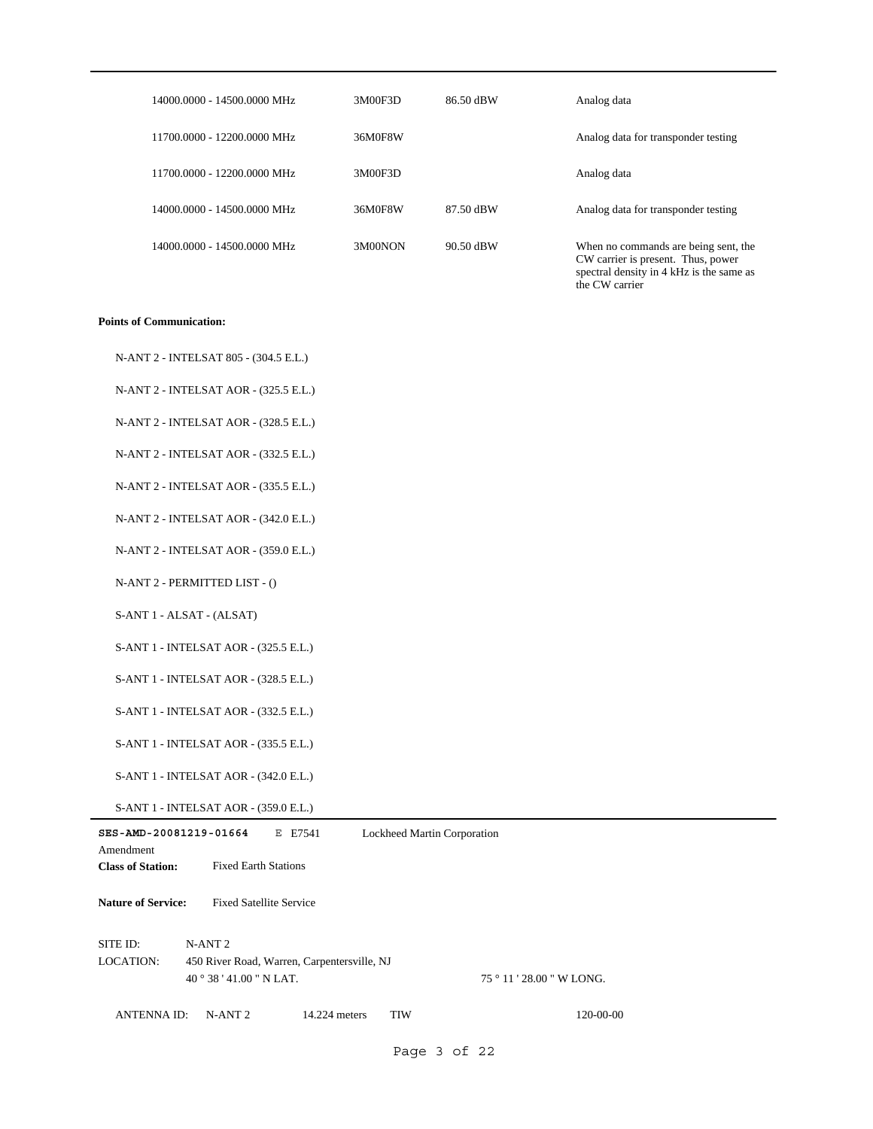| 14000.0000 - 14500.0000 MHz | 3M00F3D | 86.50 dBW | Analog data                                                                                                                              |
|-----------------------------|---------|-----------|------------------------------------------------------------------------------------------------------------------------------------------|
| 11700.0000 - 12200.0000 MHz | 36M0F8W |           | Analog data for transponder testing                                                                                                      |
| 11700.0000 - 12200.0000 MHz | 3M00F3D |           | Analog data                                                                                                                              |
| 14000.0000 - 14500.0000 MHz | 36M0F8W | 87.50 dBW | Analog data for transponder testing                                                                                                      |
| 14000.0000 - 14500.0000 MHz | 3M00NON | 90.50 dBW | When no commands are being sent, the<br>CW carrier is present. Thus, power<br>spectral density in 4 kHz is the same as<br>the CW carrier |

#### **Points of Communication:**

| N-ANT 2 - INTELSAT 805 - (304.5 E.L.) |  |
|---------------------------------------|--|
|---------------------------------------|--|

N-ANT 2 - INTELSAT AOR - (325.5 E.L.)

N-ANT 2 - INTELSAT AOR - (328.5 E.L.)

N-ANT 2 - INTELSAT AOR - (332.5 E.L.)

N-ANT 2 - INTELSAT AOR - (335.5 E.L.)

N-ANT 2 - INTELSAT AOR - (342.0 E.L.)

N-ANT 2 - INTELSAT AOR - (359.0 E.L.)

N-ANT 2 - PERMITTED LIST - ()

S-ANT 1 - ALSAT - (ALSAT)

S-ANT 1 - INTELSAT AOR - (325.5 E.L.)

S-ANT 1 - INTELSAT AOR - (328.5 E.L.)

S-ANT 1 - INTELSAT AOR - (332.5 E.L.)

S-ANT 1 - INTELSAT AOR - (335.5 E.L.)

S-ANT 1 - INTELSAT AOR - (342.0 E.L.)

S-ANT 1 - INTELSAT AOR - (359.0 E.L.)

| SES-AMD-20081219-01664    |                                             | E E7541       | Lockheed Martin Corporation |                           |  |
|---------------------------|---------------------------------------------|---------------|-----------------------------|---------------------------|--|
| Amendment                 |                                             |               |                             |                           |  |
| <b>Class of Station:</b>  | <b>Fixed Earth Stations</b>                 |               |                             |                           |  |
| <b>Nature of Service:</b> | <b>Fixed Satellite Service</b>              |               |                             |                           |  |
| SITE ID:                  | N-ANT <sub>2</sub>                          |               |                             |                           |  |
| <b>LOCATION:</b>          | 450 River Road, Warren, Carpentersville, NJ |               |                             |                           |  |
|                           | $40^{\circ}38'41.00''$ N LAT.               |               |                             | 75 ° 11 ' 28.00 " W LONG. |  |
| <b>ANTENNA ID:</b>        | $N-ANT 2$                                   | 14.224 meters | <b>TIW</b>                  | $120 - 00 - 00$           |  |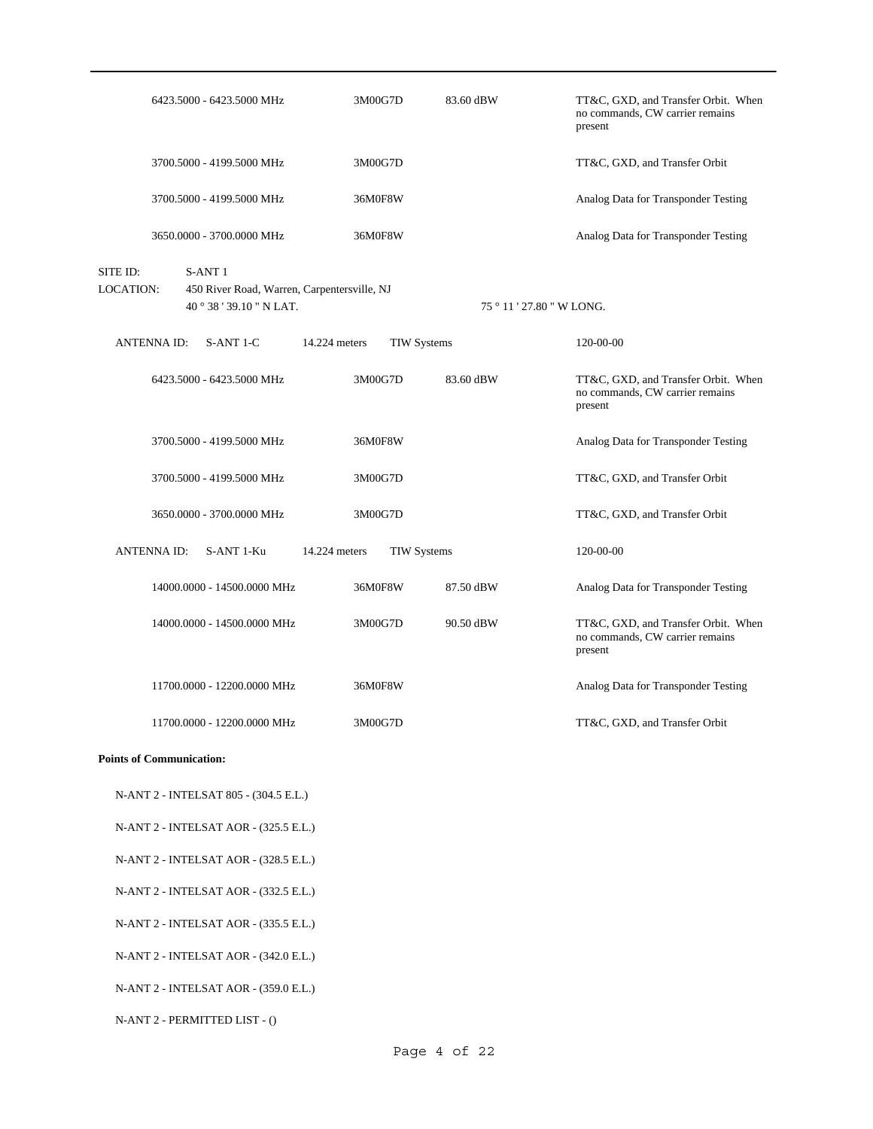|                                 | 6423.5000 - 6423.5000 MHz                                                                     | 3M00G7D                             | 83.60 dBW                 | TT&C, GXD, and Transfer Orbit. When<br>no commands, CW carrier remains<br>present |
|---------------------------------|-----------------------------------------------------------------------------------------------|-------------------------------------|---------------------------|-----------------------------------------------------------------------------------|
|                                 | 3700.5000 - 4199.5000 MHz                                                                     | 3M00G7D                             |                           | TT&C, GXD, and Transfer Orbit                                                     |
|                                 | 3700.5000 - 4199.5000 MHz                                                                     | 36M0F8W                             |                           | Analog Data for Transponder Testing                                               |
|                                 | 3650.0000 - 3700.0000 MHz                                                                     | 36M0F8W                             |                           | Analog Data for Transponder Testing                                               |
| SITE ID:<br><b>LOCATION:</b>    | S-ANT <sub>1</sub><br>450 River Road, Warren, Carpentersville, NJ<br>40 ° 38 ' 39.10 " N LAT. |                                     | 75 ° 11 ' 27.80 " W LONG. |                                                                                   |
| ANTENNA ID:                     | S-ANT 1-C                                                                                     | 14.224 meters<br><b>TIW Systems</b> |                           | 120-00-00                                                                         |
|                                 | 6423.5000 - 6423.5000 MHz                                                                     | 3M00G7D                             | 83.60 dBW                 | TT&C, GXD, and Transfer Orbit. When<br>no commands, CW carrier remains<br>present |
|                                 | 3700.5000 - 4199.5000 MHz                                                                     | 36M0F8W                             |                           | Analog Data for Transponder Testing                                               |
|                                 | 3700.5000 - 4199.5000 MHz                                                                     | 3M00G7D                             |                           | TT&C, GXD, and Transfer Orbit                                                     |
|                                 | 3650.0000 - 3700.0000 MHz                                                                     | 3M00G7D                             |                           | TT&C, GXD, and Transfer Orbit                                                     |
| ANTENNA ID:                     | S-ANT 1-Ku                                                                                    | 14.224 meters<br><b>TIW Systems</b> |                           | 120-00-00                                                                         |
|                                 | 14000.0000 - 14500.0000 MHz                                                                   | 36M0F8W                             | 87.50 dBW                 | Analog Data for Transponder Testing                                               |
|                                 | 14000.0000 - 14500.0000 MHz                                                                   | 3M00G7D                             | 90.50 dBW                 | TT&C, GXD, and Transfer Orbit. When<br>no commands, CW carrier remains<br>present |
|                                 | 11700.0000 - 12200.0000 MHz                                                                   | 36M0F8W                             |                           | Analog Data for Transponder Testing                                               |
|                                 | 11700.0000 - 12200.0000 MHz                                                                   | 3M00G7D                             |                           | TT&C, GXD, and Transfer Orbit                                                     |
| <b>Points of Communication:</b> |                                                                                               |                                     |                           |                                                                                   |
|                                 | N-ANT 2 - INTELSAT 805 - (304.5 E.L.)                                                         |                                     |                           |                                                                                   |
|                                 | N-ANT 2 - INTELSAT AOR - (325.5 E.L.)                                                         |                                     |                           |                                                                                   |
|                                 | N-ANT 2 - INTELSAT AOR - (328.5 E.L.)                                                         |                                     |                           |                                                                                   |
|                                 | N-ANT 2 - INTELSAT AOR - (332.5 E.L.)                                                         |                                     |                           |                                                                                   |
|                                 | N-ANT 2 - INTELSAT AOR - (335.5 E.L.)                                                         |                                     |                           |                                                                                   |
|                                 | N-ANT 2 - INTELSAT AOR - (342.0 E.L.)                                                         |                                     |                           |                                                                                   |
|                                 | N-ANT 2 - INTELSAT AOR - (359.0 E.L.)                                                         |                                     |                           |                                                                                   |
|                                 | N-ANT 2 - PERMITTED LIST - ()                                                                 |                                     |                           |                                                                                   |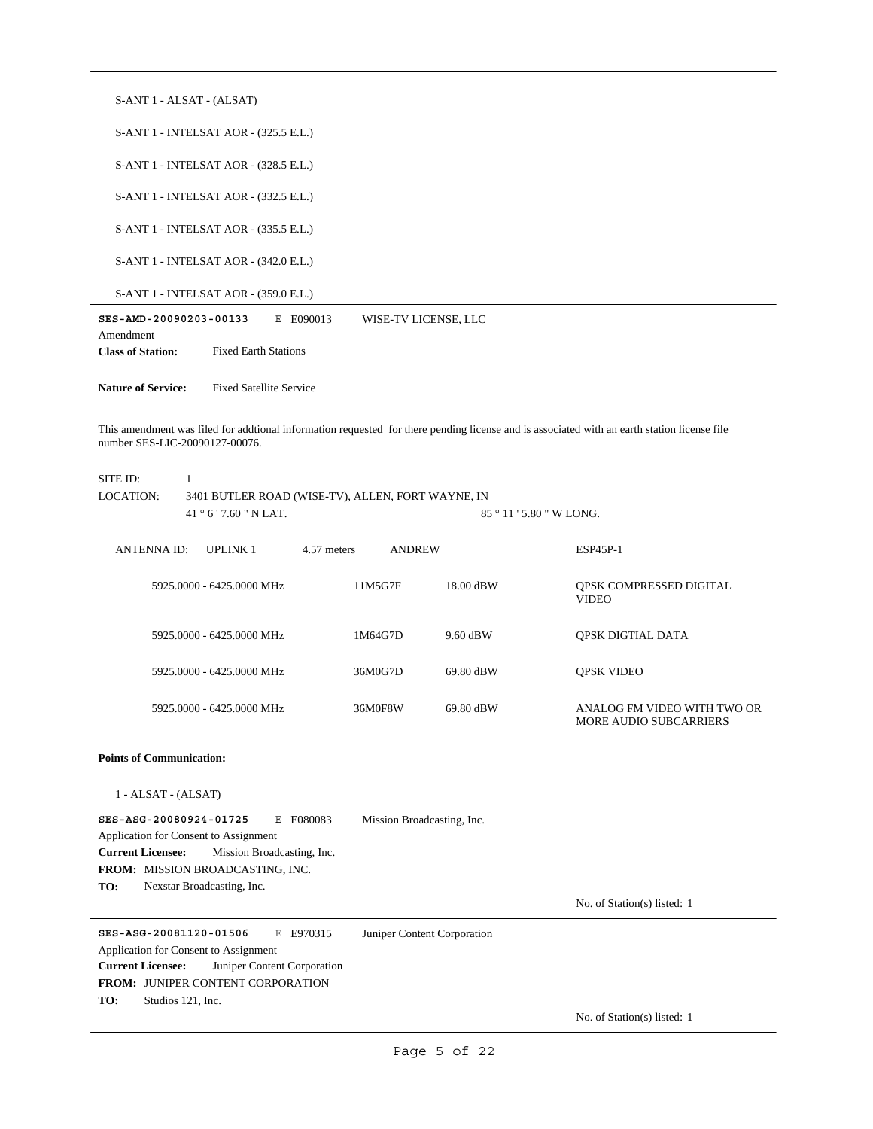| S-ANT 1 - ALSAT - (ALSAT)                                                                                                                                                                                                                                                                  |               |                             |                                                              |
|--------------------------------------------------------------------------------------------------------------------------------------------------------------------------------------------------------------------------------------------------------------------------------------------|---------------|-----------------------------|--------------------------------------------------------------|
| S-ANT 1 - INTELSAT AOR - (325.5 E.L.)                                                                                                                                                                                                                                                      |               |                             |                                                              |
| S-ANT 1 - INTELSAT AOR - (328.5 E.L.)                                                                                                                                                                                                                                                      |               |                             |                                                              |
| S-ANT 1 - INTELSAT AOR - (332.5 E.L.)                                                                                                                                                                                                                                                      |               |                             |                                                              |
| S-ANT 1 - INTELSAT AOR - (335.5 E.L.)                                                                                                                                                                                                                                                      |               |                             |                                                              |
| S-ANT 1 - INTELSAT AOR - (342.0 E.L.)                                                                                                                                                                                                                                                      |               |                             |                                                              |
| S-ANT 1 - INTELSAT AOR - (359.0 E.L.)                                                                                                                                                                                                                                                      |               |                             |                                                              |
| SES-AMD-20090203-00133<br>E E090013<br>Amendment                                                                                                                                                                                                                                           |               | WISE-TV LICENSE, LLC        |                                                              |
| <b>Class of Station:</b><br><b>Fixed Earth Stations</b>                                                                                                                                                                                                                                    |               |                             |                                                              |
| <b>Nature of Service:</b><br><b>Fixed Satellite Service</b>                                                                                                                                                                                                                                |               |                             |                                                              |
| This amendment was filed for addtional information requested for there pending license and is associated with an earth station license file<br>number SES-LIC-20090127-00076.<br>SITE ID:<br>1<br>LOCATION:<br>3401 BUTLER ROAD (WISE-TV), ALLEN, FORT WAYNE, IN<br>41 ° 6 ' 7.60 " N LAT. |               |                             | 85 ° 11 ' 5.80 " W LONG.                                     |
| 4.57 meters<br><b>ANTENNA ID:</b><br><b>UPLINK1</b>                                                                                                                                                                                                                                        | <b>ANDREW</b> |                             | ESP45P-1                                                     |
| 5925.0000 - 6425.0000 MHz                                                                                                                                                                                                                                                                  | 11M5G7F       | 18.00 dBW                   | QPSK COMPRESSED DIGITAL<br><b>VIDEO</b>                      |
| 5925.0000 - 6425.0000 MHz                                                                                                                                                                                                                                                                  | 1M64G7D       | 9.60 dBW                    | QPSK DIGTIAL DATA                                            |
| 5925.0000 - 6425.0000 MHz                                                                                                                                                                                                                                                                  | 36M0G7D       | 69.80 dBW                   | <b>QPSK VIDEO</b>                                            |
| 5925.0000 - 6425.0000 MHz                                                                                                                                                                                                                                                                  | 36M0F8W       | 69.80 dBW                   | ANALOG FM VIDEO WITH TWO OR<br><b>MORE AUDIO SUBCARRIERS</b> |
| <b>Points of Communication:</b>                                                                                                                                                                                                                                                            |               |                             |                                                              |
| $1 - ALSAT - (ALSAT)$                                                                                                                                                                                                                                                                      |               |                             |                                                              |
| SES-ASG-20080924-01725<br>E E080083<br>Application for Consent to Assignment<br><b>Current Licensee:</b><br>Mission Broadcasting, Inc.<br><b>FROM: MISSION BROADCASTING, INC.</b><br>TO:<br>Nexstar Broadcasting, Inc.                                                                     |               | Mission Broadcasting, Inc.  | No. of Station(s) listed: 1                                  |
| SES-ASG-20081120-01506<br>E E970315<br>Application for Consent to Assignment<br>Juniper Content Corporation<br><b>Current Licensee:</b><br>FROM: JUNIPER CONTENT CORPORATION<br>TO:<br>Studios 121, Inc.                                                                                   |               | Juniper Content Corporation |                                                              |
|                                                                                                                                                                                                                                                                                            |               |                             | No. of Station(s) listed: 1                                  |
|                                                                                                                                                                                                                                                                                            |               | Page 5 of 22                |                                                              |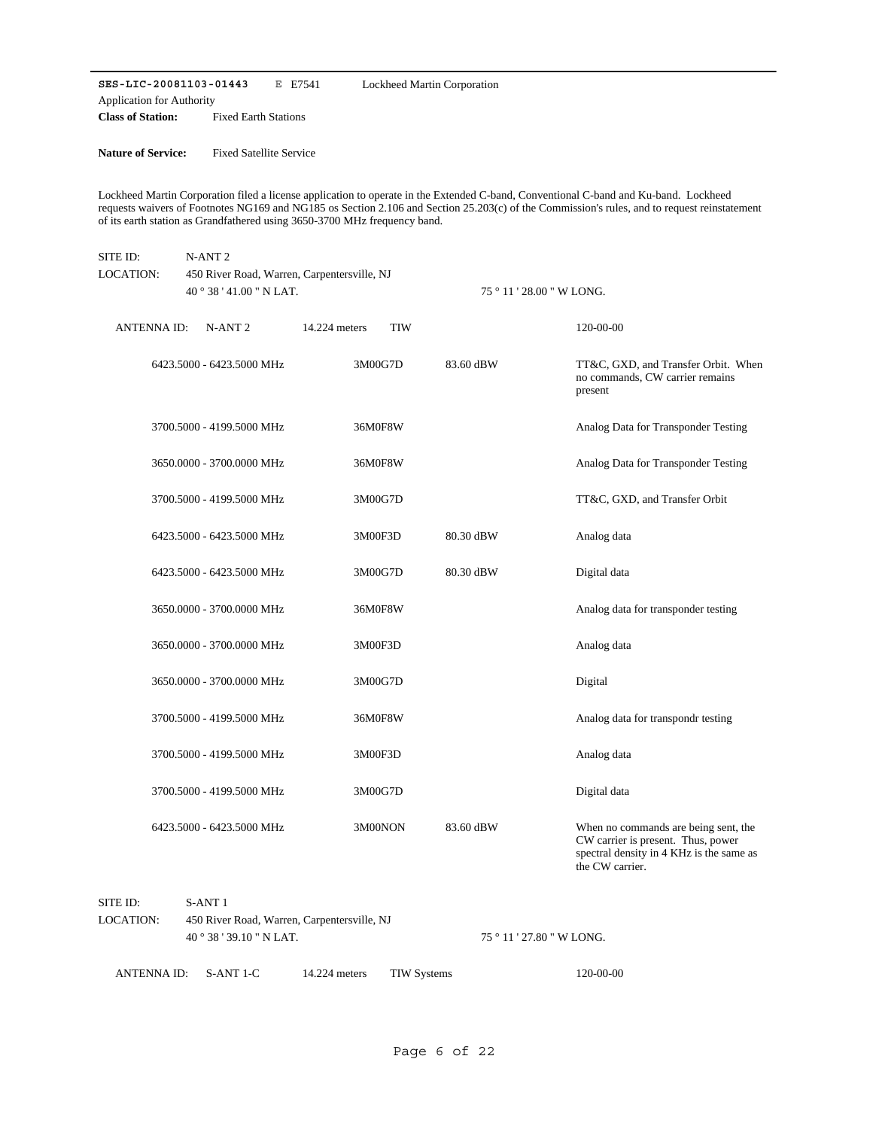**SES-LIC-20081103-01443** E E7541 **Class of Station:** Fixed Earth Stations Application for Authority Lockheed Martin Corporation

**Nature of Service:** Fixed Satellite Service

Lockheed Martin Corporation filed a license application to operate in the Extended C-band, Conventional C-band and Ku-band. Lockheed requests waivers of Footnotes NG169 and NG185 os Section 2.106 and Section 25.203(c) of the Commission's rules, and to request reinstatement of its earth station as Grandfathered using 3650-3700 MHz frequency band.

| SITE ID:<br>LOCATION: | N-ANT <sub>2</sub><br>450 River Road, Warren, Carpentersville, NJ |                             |           |                                                                                                                                           |  |  |  |  |
|-----------------------|-------------------------------------------------------------------|-----------------------------|-----------|-------------------------------------------------------------------------------------------------------------------------------------------|--|--|--|--|
|                       | 40 ° 38 ' 41.00 " N LAT.                                          |                             |           | 75 ° 11 ' 28.00 " W LONG.                                                                                                                 |  |  |  |  |
| <b>ANTENNAID:</b>     | N-ANT <sub>2</sub>                                                | <b>TIW</b><br>14.224 meters |           | 120-00-00                                                                                                                                 |  |  |  |  |
|                       | 6423.5000 - 6423.5000 MHz                                         | 3M00G7D                     | 83.60 dBW | TT&C, GXD, and Transfer Orbit. When<br>no commands, CW carrier remains<br>present                                                         |  |  |  |  |
|                       | 3700.5000 - 4199.5000 MHz                                         | 36M0F8W                     |           | Analog Data for Transponder Testing                                                                                                       |  |  |  |  |
|                       | 3650.0000 - 3700.0000 MHz                                         | 36M0F8W                     |           | Analog Data for Transponder Testing                                                                                                       |  |  |  |  |
|                       | 3700.5000 - 4199.5000 MHz                                         | 3M00G7D                     |           | TT&C, GXD, and Transfer Orbit                                                                                                             |  |  |  |  |
|                       | 6423.5000 - 6423.5000 MHz                                         | 3M00F3D                     | 80.30 dBW | Analog data                                                                                                                               |  |  |  |  |
|                       | 6423.5000 - 6423.5000 MHz                                         | 3M00G7D                     | 80.30 dBW | Digital data                                                                                                                              |  |  |  |  |
|                       | 3650.0000 - 3700.0000 MHz                                         | 36M0F8W                     |           | Analog data for transponder testing                                                                                                       |  |  |  |  |
|                       | 3650.0000 - 3700.0000 MHz                                         | 3M00F3D                     |           | Analog data                                                                                                                               |  |  |  |  |
|                       | 3650.0000 - 3700.0000 MHz                                         | 3M00G7D                     |           | Digital                                                                                                                                   |  |  |  |  |
|                       | 3700.5000 - 4199.5000 MHz                                         | 36M0F8W                     |           | Analog data for transpondr testing                                                                                                        |  |  |  |  |
|                       | 3700.5000 - 4199.5000 MHz                                         | 3M00F3D                     |           | Analog data                                                                                                                               |  |  |  |  |
|                       | 3700.5000 - 4199.5000 MHz                                         | 3M00G7D                     |           | Digital data                                                                                                                              |  |  |  |  |
|                       | 6423.5000 - 6423.5000 MHz                                         | 3M00NON                     | 83.60 dBW | When no commands are being sent, the<br>CW carrier is present. Thus, power<br>spectral density in 4 KHz is the same as<br>the CW carrier. |  |  |  |  |

| SITE ID:                      |  | S-ANT 1   |               |                                             |                           |  |  |
|-------------------------------|--|-----------|---------------|---------------------------------------------|---------------------------|--|--|
| LOCATION:                     |  |           |               | 450 River Road, Warren, Carpentersville, NJ |                           |  |  |
| $40^{\circ}38'39.10''$ N LAT. |  |           |               |                                             | 75 ° 11 ' 27.80 " W LONG. |  |  |
| ANTENNA ID:                   |  | S-ANT 1-C | 14.224 meters | TIW Systems                                 | 120-00-00                 |  |  |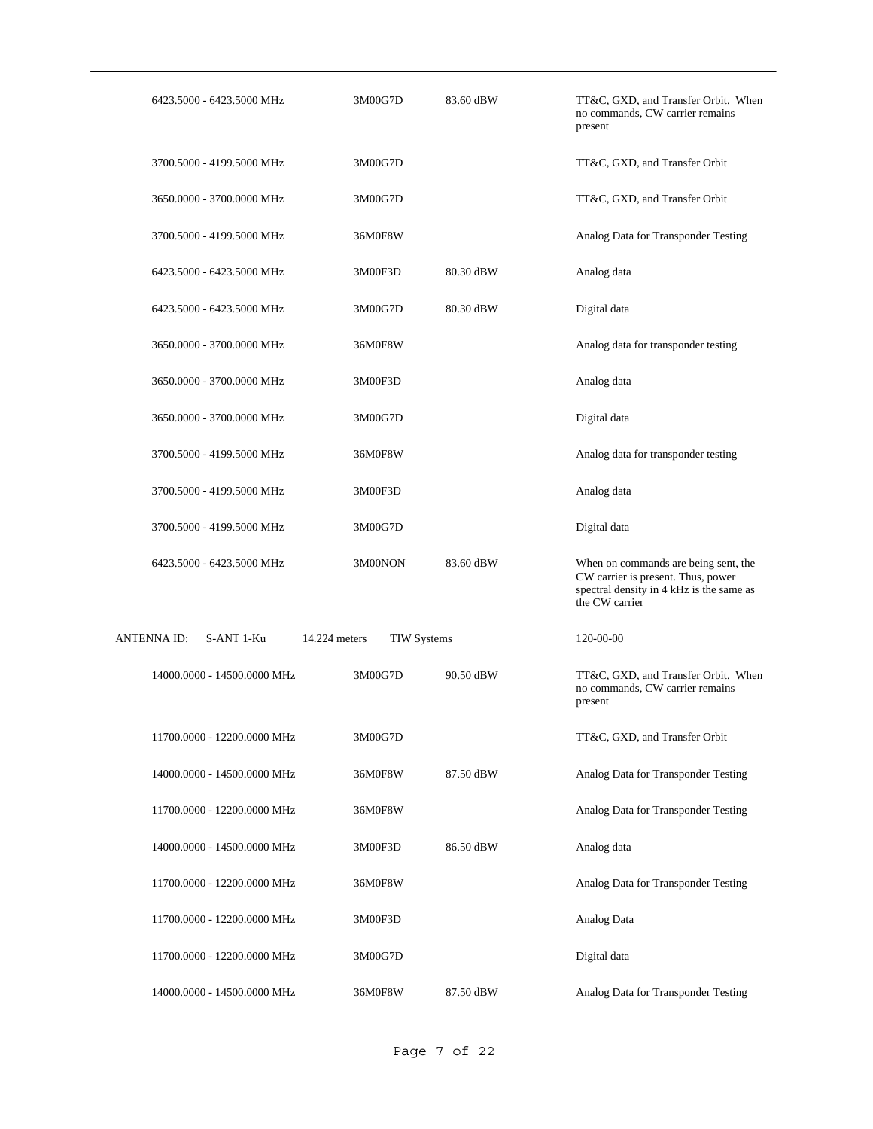| 6423.5000 - 6423.5000 MHz        | 3M00G7D                             | 83.60 dBW | TT&C, GXD, and Transfer Orbit. When<br>no commands, CW carrier remains<br>present                                                        |
|----------------------------------|-------------------------------------|-----------|------------------------------------------------------------------------------------------------------------------------------------------|
| 3700.5000 - 4199.5000 MHz        | 3M00G7D                             |           | TT&C, GXD, and Transfer Orbit                                                                                                            |
| 3650.0000 - 3700.0000 MHz        | 3M00G7D                             |           | TT&C, GXD, and Transfer Orbit                                                                                                            |
| 3700.5000 - 4199.5000 MHz        | 36M0F8W                             |           | Analog Data for Transponder Testing                                                                                                      |
| 6423.5000 - 6423.5000 MHz        | 3M00F3D                             | 80.30 dBW | Analog data                                                                                                                              |
| 6423.5000 - 6423.5000 MHz        | 3M00G7D                             | 80.30 dBW | Digital data                                                                                                                             |
| 3650.0000 - 3700.0000 MHz        | 36M0F8W                             |           | Analog data for transponder testing                                                                                                      |
| 3650.0000 - 3700.0000 MHz        | 3M00F3D                             |           | Analog data                                                                                                                              |
| 3650.0000 - 3700.0000 MHz        | 3M00G7D                             |           | Digital data                                                                                                                             |
| 3700.5000 - 4199.5000 MHz        | 36M0F8W                             |           | Analog data for transponder testing                                                                                                      |
| 3700.5000 - 4199.5000 MHz        | 3M00F3D                             |           | Analog data                                                                                                                              |
| 3700.5000 - 4199.5000 MHz        | 3M00G7D                             |           | Digital data                                                                                                                             |
| 6423.5000 - 6423.5000 MHz        | 3M00NON                             | 83.60 dBW | When on commands are being sent, the<br>CW carrier is present. Thus, power<br>spectral density in 4 kHz is the same as<br>the CW carrier |
| <b>ANTENNA ID:</b><br>S-ANT 1-Ku | 14.224 meters<br><b>TIW Systems</b> |           | 120-00-00                                                                                                                                |
| 14000.0000 - 14500.0000 MHz      | 3M00G7D                             | 90.50 dBW | TT&C, GXD, and Transfer Orbit. When<br>no commands, CW carrier remains<br>present                                                        |
| 11700.0000 - 12200.0000 MHz      | 3M00G7D                             |           | TT&C, GXD, and Transfer Orbit                                                                                                            |
| 14000.0000 - 14500.0000 MHz      | 36M0F8W                             | 87.50 dBW | Analog Data for Transponder Testing                                                                                                      |
| 11700.0000 - 12200.0000 MHz      | 36M0F8W                             |           | Analog Data for Transponder Testing                                                                                                      |
| 14000.0000 - 14500.0000 MHz      | 3M00F3D                             | 86.50 dBW | Analog data                                                                                                                              |
| 11700.0000 - 12200.0000 MHz      | 36M0F8W                             |           | Analog Data for Transponder Testing                                                                                                      |
| 11700.0000 - 12200.0000 MHz      | 3M00F3D                             |           | Analog Data                                                                                                                              |
| 11700.0000 - 12200.0000 MHz      | 3M00G7D                             |           | Digital data                                                                                                                             |
| 14000.0000 - 14500.0000 MHz      | 36M0F8W                             | 87.50 dBW | Analog Data for Transponder Testing                                                                                                      |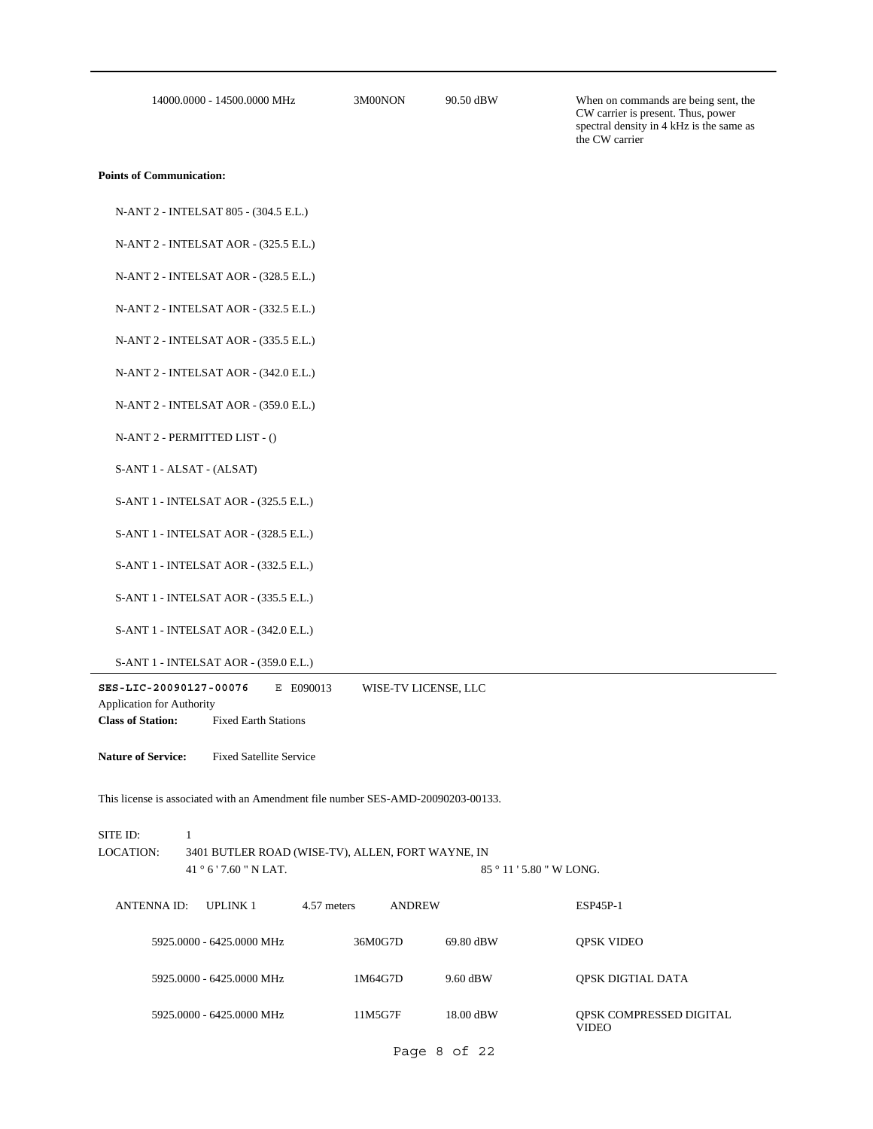14000.0000 - 14500.0000 MHz 3M00NON

90.50 dBW When on commands are being sent, the CW carrier is present. Thus, power spectral density in 4 kHz is the same as the CW carrier

#### **Points of Communication:**

N-ANT 2 - INTELSAT 805 - (304.5 E.L.)

N-ANT 2 - INTELSAT AOR - (325.5 E.L.)

N-ANT 2 - INTELSAT AOR - (328.5 E.L.)

N-ANT 2 - INTELSAT AOR - (332.5 E.L.)

N-ANT 2 - INTELSAT AOR - (335.5 E.L.)

N-ANT 2 - INTELSAT AOR - (342.0 E.L.)

N-ANT 2 - INTELSAT AOR - (359.0 E.L.)

N-ANT 2 - PERMITTED LIST - ()

S-ANT 1 - ALSAT - (ALSAT)

S-ANT 1 - INTELSAT AOR - (325.5 E.L.)

S-ANT 1 - INTELSAT AOR - (328.5 E.L.)

S-ANT 1 - INTELSAT AOR - (332.5 E.L.)

S-ANT 1 - INTELSAT AOR - (335.5 E.L.)

S-ANT 1 - INTELSAT AOR - (342.0 E.L.)

S-ANT 1 - INTELSAT AOR - (359.0 E.L.)

**SES-LIC-20090127-00076** E E090013 WISE-TV LICENSE, LLC

Application for Authority

**Class of Station:** Fixed Earth Stations

**Nature of Service:** Fixed Satellite Service

This license is associated with an Amendment file number SES-AMD-20090203-00133.

| SITE ID: - |                                                   |             |        |                               |                 |  |
|------------|---------------------------------------------------|-------------|--------|-------------------------------|-----------------|--|
| LOCATION:  | 3401 BUTLER ROAD (WISE-TV), ALLEN, FORT WAYNE, IN |             |        |                               |                 |  |
|            | 41°6'7.60" N LAT.                                 |             |        | $85^{\circ}11'5.80''$ W LONG. |                 |  |
|            | ANTENNA ID: UPLINK 1                              | 4.57 meters | ANDREW |                               | <b>ESP45P-1</b> |  |

| 5925,0000 - 6425,0000 MHz | 36M0G7D | 69.80 dBW | <b>OPSK VIDEO</b>                       |
|---------------------------|---------|-----------|-----------------------------------------|
| 5925,0000 - 6425,0000 MHz | 1M64G7D | 9.60 dBW  | OPSK DIGTIAL DATA                       |
| 5925,0000 - 6425,0000 MHz | 11M5G7F | 18.00 dBW | OPSK COMPRESSED DIGITAL<br><b>VIDEO</b> |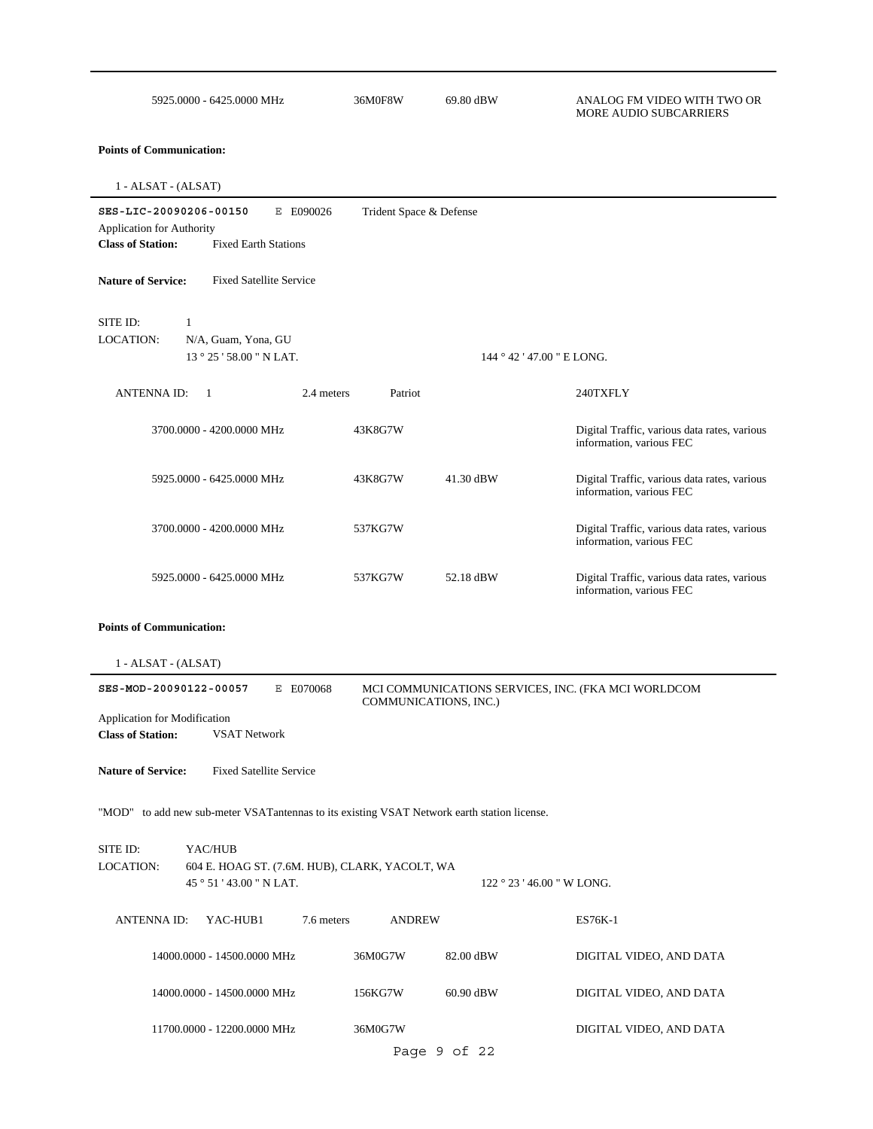| 5925,0000 - 6425,0000 MHz | 36M0F8W | 69.80 dBW | ANALOG FM VIDEO WITH TWO OR |
|---------------------------|---------|-----------|-----------------------------|
|                           |         |           | MORE AUDIO SUBCARRIERS      |

**Points of Communication:**

| $1 - ALSAT - (ALSAT)$                                                                       |                                                                                                                                   |                       |                                                |                                                                          |  |  |  |  |
|---------------------------------------------------------------------------------------------|-----------------------------------------------------------------------------------------------------------------------------------|-----------------------|------------------------------------------------|--------------------------------------------------------------------------|--|--|--|--|
| <b>Class of Station:</b>                                                                    | SES-LIC-20090206-00150<br>E E090026<br>Trident Space & Defense<br><b>Application for Authority</b><br><b>Fixed Earth Stations</b> |                       |                                                |                                                                          |  |  |  |  |
| <b>Nature of Service:</b>                                                                   | <b>Fixed Satellite Service</b>                                                                                                    |                       |                                                |                                                                          |  |  |  |  |
| SITE ID:<br>1<br>LOCATION:                                                                  | N/A, Guam, Yona, GU<br>13 ° 25 ' 58.00 " N LAT.                                                                                   |                       | 144 ° 42 ' 47.00 " E LONG.                     |                                                                          |  |  |  |  |
| <b>ANTENNAID:</b>                                                                           | 2.4 meters<br>- 1                                                                                                                 | Patriot               |                                                | 240TXFLY                                                                 |  |  |  |  |
|                                                                                             | 3700.0000 - 4200.0000 MHz                                                                                                         | 43K8G7W               |                                                | Digital Traffic, various data rates, various<br>information, various FEC |  |  |  |  |
|                                                                                             | 5925.0000 - 6425.0000 MHz                                                                                                         | 43K8G7W               | 41.30 dBW                                      | Digital Traffic, various data rates, various<br>information, various FEC |  |  |  |  |
|                                                                                             | 3700.0000 - 4200.0000 MHz                                                                                                         | 537KG7W               |                                                | Digital Traffic, various data rates, various<br>information, various FEC |  |  |  |  |
|                                                                                             | 5925.0000 - 6425.0000 MHz                                                                                                         | 537KG7W               | 52.18 dBW                                      | Digital Traffic, various data rates, various<br>information, various FEC |  |  |  |  |
| <b>Points of Communication:</b>                                                             |                                                                                                                                   |                       |                                                |                                                                          |  |  |  |  |
| $1 - ALSAT - (ALSAT)$                                                                       |                                                                                                                                   |                       |                                                |                                                                          |  |  |  |  |
| SES-MOD-20090122-00057                                                                      | E E070068                                                                                                                         | COMMUNICATIONS, INC.) |                                                | MCI COMMUNICATIONS SERVICES, INC. (FKA MCI WORLDCOM                      |  |  |  |  |
| Application for Modification<br><b>Class of Station:</b>                                    | <b>VSAT Network</b>                                                                                                               |                       |                                                |                                                                          |  |  |  |  |
| <b>Nature of Service:</b>                                                                   | <b>Fixed Satellite Service</b>                                                                                                    |                       |                                                |                                                                          |  |  |  |  |
| "MOD" to add new sub-meter VSATantennas to its existing VSAT Network earth station license. |                                                                                                                                   |                       |                                                |                                                                          |  |  |  |  |
| SITE ID:<br>LOCATION:                                                                       | YAC/HUB<br>604 E. HOAG ST. (7.6M. HUB), CLARK, YACOLT, WA<br>45°51'43.00" N LAT.                                                  |                       | $122 \degree 23 \degree 46.00 \degree W$ LONG. |                                                                          |  |  |  |  |
| ANTENNA ID:                                                                                 | 7.6 meters<br>YAC-HUB1                                                                                                            | <b>ANDREW</b>         |                                                | ES76K-1                                                                  |  |  |  |  |
|                                                                                             | 14000.0000 - 14500.0000 MHz                                                                                                       | 36M0G7W               | 82.00 dBW                                      | DIGITAL VIDEO, AND DATA                                                  |  |  |  |  |
|                                                                                             | 14000.0000 - 14500.0000 MHz                                                                                                       | 156KG7W               | 60.90 dBW                                      | DIGITAL VIDEO, AND DATA                                                  |  |  |  |  |
| 11700.0000 - 12200.0000 MHz<br>36M0G7W<br>DIGITAL VIDEO, AND DATA                           |                                                                                                                                   |                       |                                                |                                                                          |  |  |  |  |

Page 9 of 22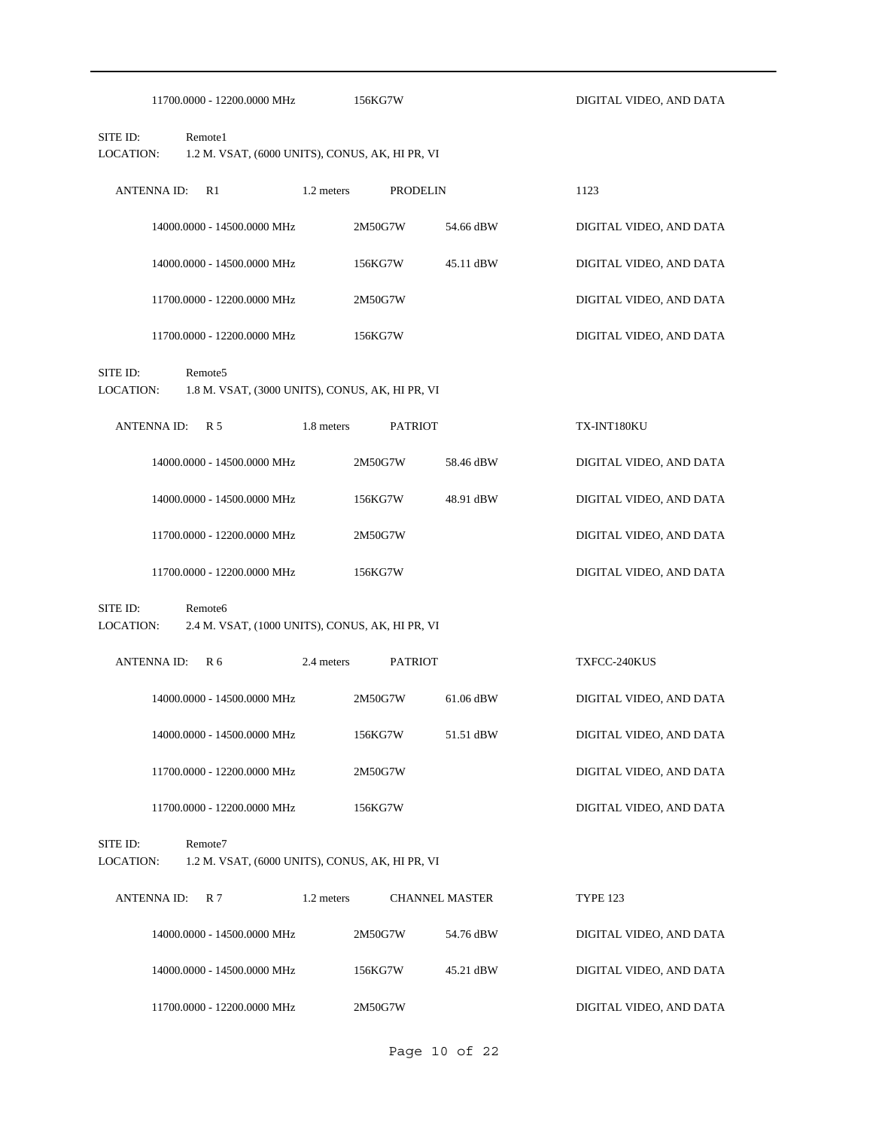|                              | 11700.0000 - 12200.0000 MHz                                            | 156KG7W                                         |                       | DIGITAL VIDEO, AND DATA |
|------------------------------|------------------------------------------------------------------------|-------------------------------------------------|-----------------------|-------------------------|
| SITE ID:<br><b>LOCATION:</b> | Remote1                                                                | 1.2 M. VSAT, (6000 UNITS), CONUS, AK, HI PR, VI |                       |                         |
| <b>ANTENNA ID:</b>           | R1                                                                     | 1.2 meters                                      | <b>PRODELIN</b>       | 1123                    |
|                              | 14000.0000 - 14500.0000 MHz                                            | 2M50G7W                                         | 54.66 dBW             | DIGITAL VIDEO, AND DATA |
|                              | 14000.0000 - 14500.0000 MHz                                            | 156KG7W                                         | 45.11 dBW             | DIGITAL VIDEO, AND DATA |
|                              | 11700.0000 - 12200.0000 MHz                                            | 2M50G7W                                         |                       | DIGITAL VIDEO, AND DATA |
|                              | 11700.0000 - 12200.0000 MHz                                            | 156KG7W                                         |                       | DIGITAL VIDEO, AND DATA |
| SITE ID:<br>LOCATION:        | Remote <sub>5</sub>                                                    | 1.8 M. VSAT, (3000 UNITS), CONUS, AK, HI PR, VI |                       |                         |
| <b>ANTENNA ID:</b>           | R 5                                                                    | 1.8 meters                                      | <b>PATRIOT</b>        | TX-INT180KU             |
|                              | 14000.0000 - 14500.0000 MHz                                            | 2M50G7W                                         | 58.46 dBW             | DIGITAL VIDEO, AND DATA |
|                              | 14000.0000 - 14500.0000 MHz                                            | 156KG7W                                         | 48.91 dBW             | DIGITAL VIDEO, AND DATA |
|                              | 11700.0000 - 12200.0000 MHz                                            | 2M50G7W                                         |                       | DIGITAL VIDEO, AND DATA |
|                              | 11700.0000 - 12200.0000 MHz                                            | 156KG7W                                         |                       | DIGITAL VIDEO, AND DATA |
| SITE ID:<br>LOCATION:        | Remote <sub>6</sub><br>2.4 M. VSAT, (1000 UNITS), CONUS, AK, HI PR, VI |                                                 |                       |                         |
| <b>ANTENNA ID:</b>           | R <sub>6</sub>                                                         | 2.4 meters                                      | <b>PATRIOT</b>        | TXFCC-240KUS            |
|                              | 14000.0000 - 14500.0000 MHz                                            | 2M50G7W                                         | 61.06 dBW             | DIGITAL VIDEO, AND DATA |
|                              | 14000.0000 - 14500.0000 MHz                                            | 156KG7W                                         | 51.51 dBW             | DIGITAL VIDEO, AND DATA |
|                              | 11700.0000 - 12200.0000 MHz                                            | 2M50G7W                                         |                       | DIGITAL VIDEO, AND DATA |
|                              | 11700.0000 - 12200.0000 MHz                                            | 156KG7W                                         |                       | DIGITAL VIDEO, AND DATA |
| SITE ID:<br><b>LOCATION:</b> | Remote7                                                                | 1.2 M. VSAT, (6000 UNITS), CONUS, AK, HI PR, VI |                       |                         |
| <b>ANTENNA ID:</b>           | R <sub>7</sub>                                                         | 1.2 meters                                      | <b>CHANNEL MASTER</b> | <b>TYPE 123</b>         |
|                              | 14000.0000 - 14500.0000 MHz                                            | 2M50G7W                                         | 54.76 dBW             | DIGITAL VIDEO, AND DATA |
|                              | 14000.0000 - 14500.0000 MHz                                            | 156KG7W                                         | 45.21 dBW             | DIGITAL VIDEO, AND DATA |
|                              | 11700.0000 - 12200.0000 MHz                                            | 2M50G7W                                         |                       | DIGITAL VIDEO, AND DATA |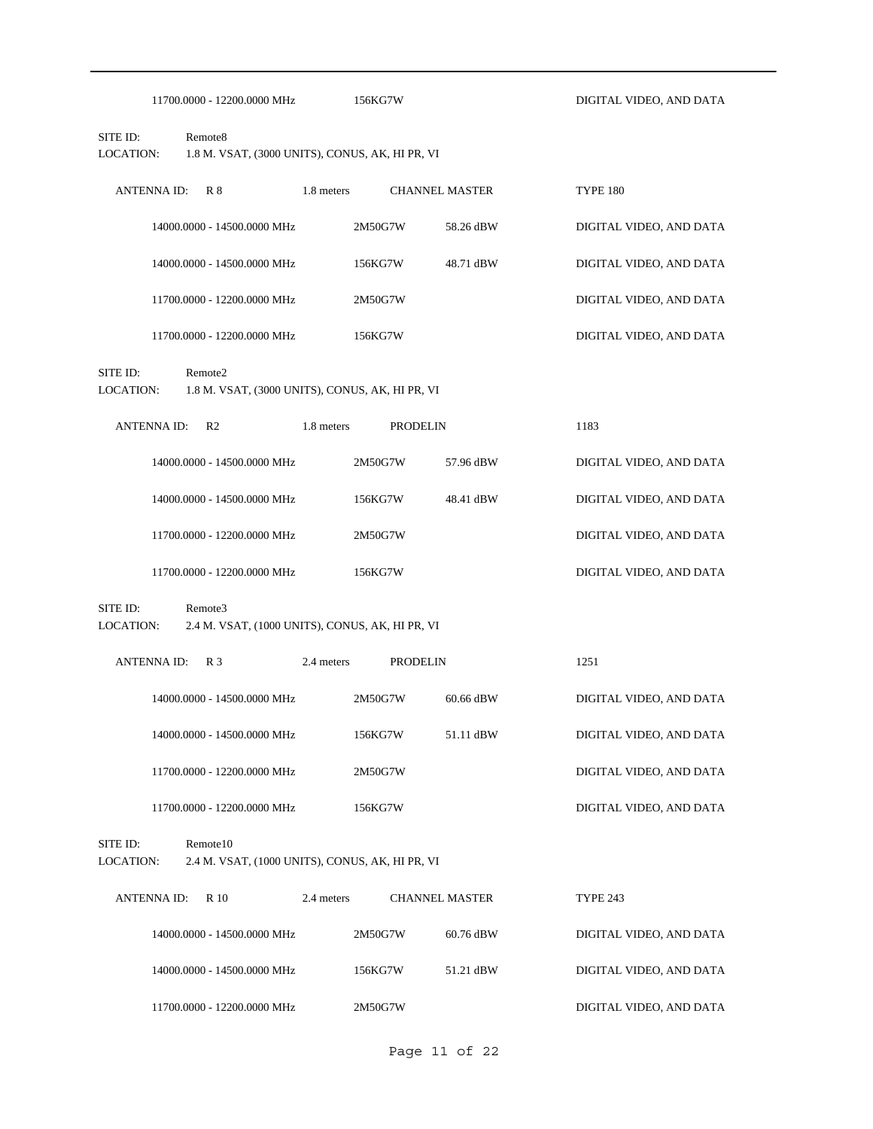|                              | 11700.0000 - 12200.0000 MHz                                            | 156KG7W    |                       | DIGITAL VIDEO, AND DATA |
|------------------------------|------------------------------------------------------------------------|------------|-----------------------|-------------------------|
| SITE ID:<br>LOCATION:        | Remote <sub>8</sub><br>1.8 M. VSAT, (3000 UNITS), CONUS, AK, HI PR, VI |            |                       |                         |
| <b>ANTENNA ID:</b>           | R8                                                                     | 1.8 meters | <b>CHANNEL MASTER</b> | <b>TYPE 180</b>         |
|                              | 14000.0000 - 14500.0000 MHz                                            | 2M50G7W    | 58.26 dBW             | DIGITAL VIDEO, AND DATA |
|                              | 14000.0000 - 14500.0000 MHz                                            | 156KG7W    | 48.71 dBW             | DIGITAL VIDEO, AND DATA |
|                              | 11700.0000 - 12200.0000 MHz                                            | 2M50G7W    |                       | DIGITAL VIDEO, AND DATA |
|                              | 11700.0000 - 12200.0000 MHz                                            | 156KG7W    |                       | DIGITAL VIDEO, AND DATA |
| SITE ID:<br><b>LOCATION:</b> | Remote2<br>1.8 M. VSAT, (3000 UNITS), CONUS, AK, HI PR, VI             |            |                       |                         |
| <b>ANTENNA ID:</b>           | R <sub>2</sub>                                                         | 1.8 meters | <b>PRODELIN</b>       | 1183                    |
|                              | 14000.0000 - 14500.0000 MHz                                            | 2M50G7W    | 57.96 dBW             | DIGITAL VIDEO, AND DATA |
|                              | 14000.0000 - 14500.0000 MHz                                            | 156KG7W    | 48.41 dBW             | DIGITAL VIDEO, AND DATA |
|                              | 11700.0000 - 12200.0000 MHz                                            | 2M50G7W    |                       | DIGITAL VIDEO, AND DATA |
|                              | 11700.0000 - 12200.0000 MHz                                            | 156KG7W    |                       | DIGITAL VIDEO, AND DATA |
| SITE ID:<br>LOCATION:        | Remote3<br>2.4 M. VSAT, (1000 UNITS), CONUS, AK, HI PR, VI             |            |                       |                         |
| <b>ANTENNA ID:</b>           | R <sub>3</sub>                                                         | 2.4 meters | <b>PRODELIN</b>       | 1251                    |
|                              | 14000.0000 - 14500.0000 MHz                                            | 2M50G7W    | 60.66 dBW             | DIGITAL VIDEO, AND DATA |
|                              | 14000.0000 - 14500.0000 MHz                                            | 156KG7W    | 51.11 dBW             | DIGITAL VIDEO, AND DATA |
|                              | 11700.0000 - 12200.0000 MHz                                            | 2M50G7W    |                       | DIGITAL VIDEO, AND DATA |
|                              | 11700.0000 - 12200.0000 MHz                                            | 156KG7W    |                       | DIGITAL VIDEO, AND DATA |
| SITE ID:<br>LOCATION:        | Remote10<br>2.4 M. VSAT, (1000 UNITS), CONUS, AK, HI PR, VI            |            |                       |                         |
| <b>ANTENNA ID:</b>           | R 10                                                                   | 2.4 meters | <b>CHANNEL MASTER</b> | <b>TYPE 243</b>         |
|                              | 14000.0000 - 14500.0000 MHz                                            | 2M50G7W    | 60.76 dBW             | DIGITAL VIDEO, AND DATA |
|                              | 14000.0000 - 14500.0000 MHz                                            | 156KG7W    | 51.21 dBW             | DIGITAL VIDEO, AND DATA |
|                              | 11700.0000 - 12200.0000 MHz                                            | 2M50G7W    |                       | DIGITAL VIDEO, AND DATA |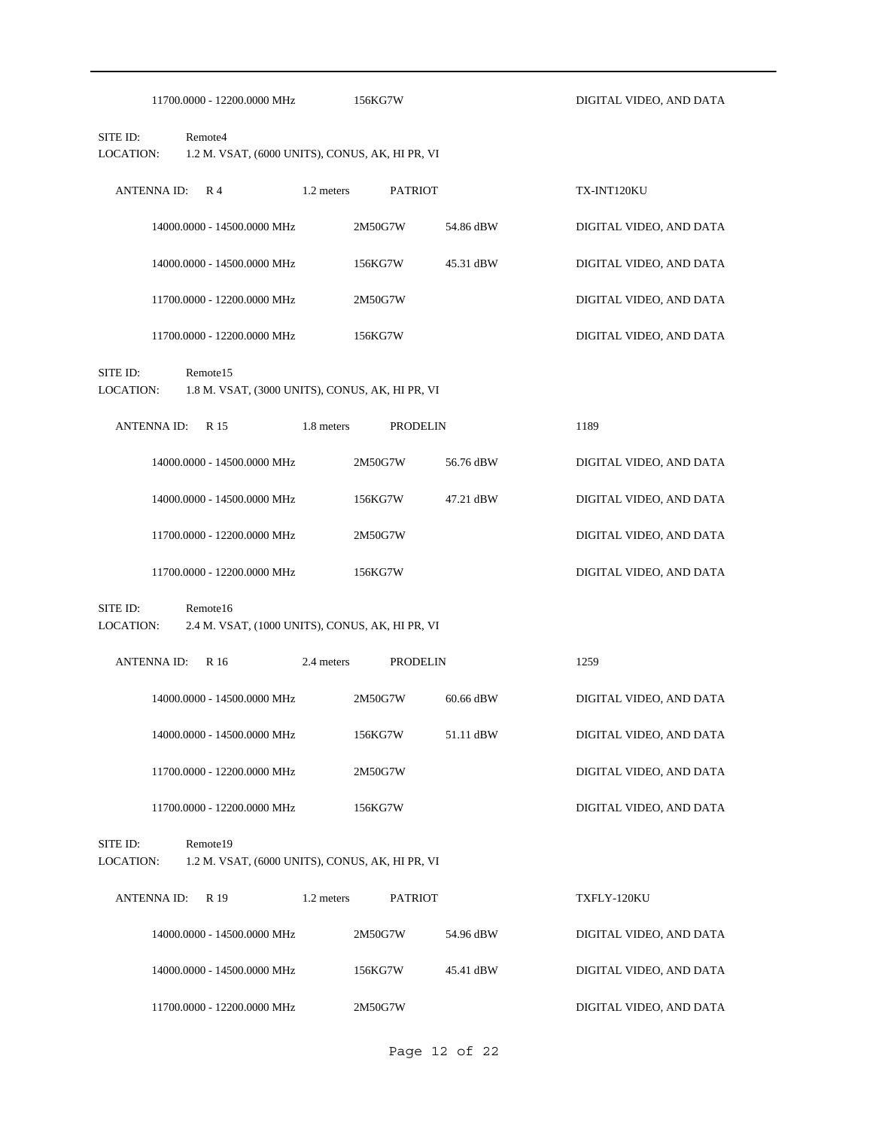|                                                                                      | 11700.0000 - 12200.0000 MHz                                 |            | 156KG7W         |           | DIGITAL VIDEO, AND DATA |  |  |  |
|--------------------------------------------------------------------------------------|-------------------------------------------------------------|------------|-----------------|-----------|-------------------------|--|--|--|
| SITE ID:<br>LOCATION:                                                                | Remote4<br>1.2 M. VSAT, (6000 UNITS), CONUS, AK, HI PR, VI  |            |                 |           |                         |  |  |  |
| <b>ANTENNA ID:</b>                                                                   | R <sub>4</sub>                                              | 1.2 meters | <b>PATRIOT</b>  |           | TX-INT120KU             |  |  |  |
|                                                                                      | 14000.0000 - 14500.0000 MHz                                 |            | 2M50G7W         | 54.86 dBW | DIGITAL VIDEO, AND DATA |  |  |  |
|                                                                                      | 14000.0000 - 14500.0000 MHz                                 |            | 156KG7W         | 45.31 dBW | DIGITAL VIDEO, AND DATA |  |  |  |
|                                                                                      | 11700.0000 - 12200.0000 MHz                                 |            | 2M50G7W         |           | DIGITAL VIDEO, AND DATA |  |  |  |
|                                                                                      | 11700.0000 - 12200.0000 MHz                                 |            | 156KG7W         |           | DIGITAL VIDEO, AND DATA |  |  |  |
| SITE ID:<br>Remote15<br>LOCATION:<br>1.8 M. VSAT, (3000 UNITS), CONUS, AK, HI PR, VI |                                                             |            |                 |           |                         |  |  |  |
| <b>ANTENNAID:</b>                                                                    | R 15                                                        | 1.8 meters | <b>PRODELIN</b> |           | 1189                    |  |  |  |
|                                                                                      | 14000.0000 - 14500.0000 MHz                                 |            | 2M50G7W         | 56.76 dBW | DIGITAL VIDEO, AND DATA |  |  |  |
|                                                                                      | 14000.0000 - 14500.0000 MHz                                 |            | 156KG7W         | 47.21 dBW | DIGITAL VIDEO, AND DATA |  |  |  |
|                                                                                      | 11700.0000 - 12200.0000 MHz                                 |            | 2M50G7W         |           | DIGITAL VIDEO, AND DATA |  |  |  |
|                                                                                      | 11700.0000 - 12200.0000 MHz                                 |            | 156KG7W         |           | DIGITAL VIDEO, AND DATA |  |  |  |
| SITE ID:<br>LOCATION:                                                                | Remote16<br>2.4 M. VSAT, (1000 UNITS), CONUS, AK, HI PR, VI |            |                 |           |                         |  |  |  |
| <b>ANTENNAID:</b>                                                                    | R 16                                                        | 2.4 meters | <b>PRODELIN</b> |           | 1259                    |  |  |  |
|                                                                                      | 14000.0000 - 14500.0000 MHz                                 |            | 2M50G7W         | 60.66 dBW | DIGITAL VIDEO, AND DATA |  |  |  |
|                                                                                      | 14000.0000 - 14500.0000 MHz                                 |            | 156KG7W         | 51.11 dBW | DIGITAL VIDEO, AND DATA |  |  |  |
|                                                                                      | 11700.0000 - 12200.0000 MHz                                 |            | 2M50G7W         |           | DIGITAL VIDEO, AND DATA |  |  |  |
|                                                                                      | 11700.0000 - 12200.0000 MHz                                 |            | 156KG7W         |           | DIGITAL VIDEO, AND DATA |  |  |  |
| SITE ID:<br><b>LOCATION:</b>                                                         | Remote19<br>1.2 M. VSAT, (6000 UNITS), CONUS, AK, HI PR, VI |            |                 |           |                         |  |  |  |
| <b>ANTENNA ID:</b>                                                                   | R 19                                                        | 1.2 meters | <b>PATRIOT</b>  |           | TXFLY-120KU             |  |  |  |
|                                                                                      | 14000.0000 - 14500.0000 MHz                                 |            | 2M50G7W         | 54.96 dBW | DIGITAL VIDEO, AND DATA |  |  |  |
|                                                                                      | 14000.0000 - 14500.0000 MHz                                 |            | 156KG7W         | 45.41 dBW | DIGITAL VIDEO, AND DATA |  |  |  |
|                                                                                      | 11700.0000 - 12200.0000 MHz                                 |            | 2M50G7W         |           | DIGITAL VIDEO, AND DATA |  |  |  |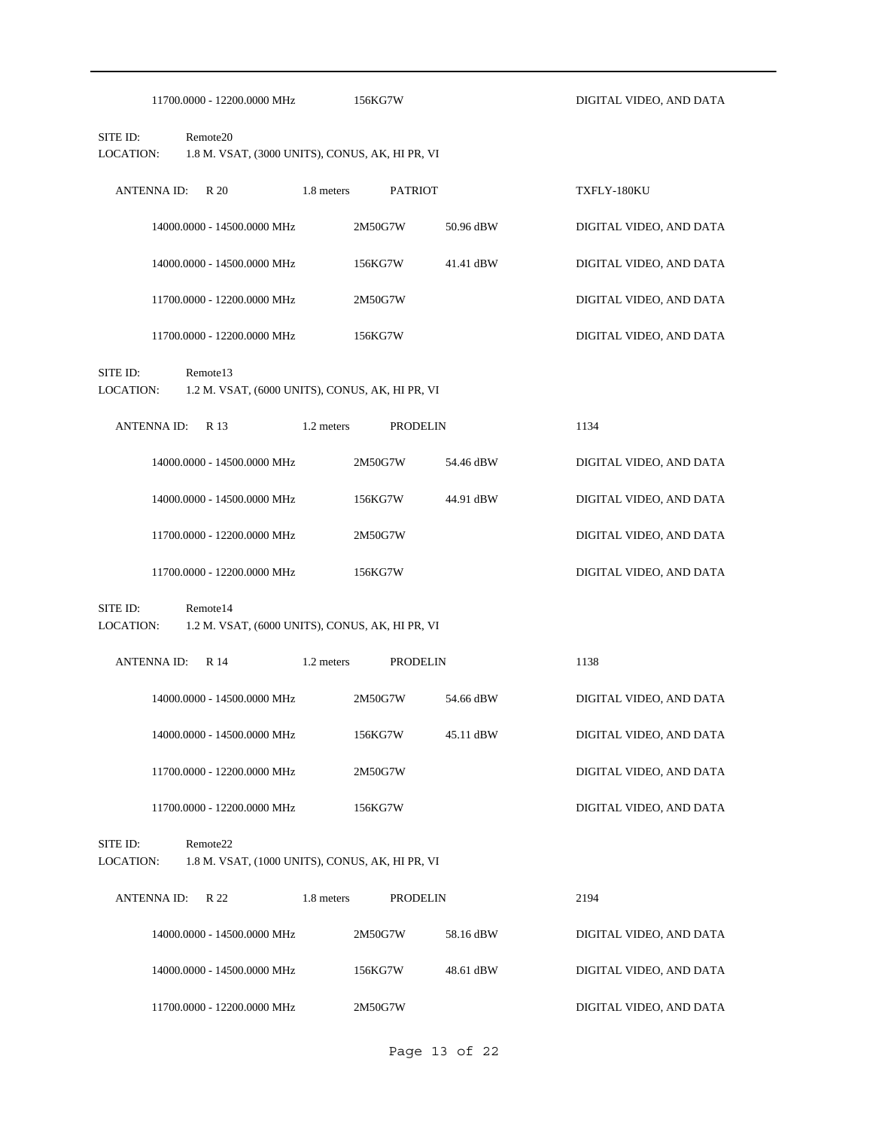|                       | 11700.0000 - 12200.0000 MHz                                             |            | 156KG7W         |           | DIGITAL VIDEO, AND DATA |  |  |  |  |
|-----------------------|-------------------------------------------------------------------------|------------|-----------------|-----------|-------------------------|--|--|--|--|
| SITE ID:<br>LOCATION: | Remote <sub>20</sub><br>1.8 M. VSAT, (3000 UNITS), CONUS, AK, HI PR, VI |            |                 |           |                         |  |  |  |  |
| <b>ANTENNA ID:</b>    | R 20                                                                    | 1.8 meters | <b>PATRIOT</b>  |           | TXFLY-180KU             |  |  |  |  |
|                       | 14000.0000 - 14500.0000 MHz                                             |            | 2M50G7W         | 50.96 dBW | DIGITAL VIDEO, AND DATA |  |  |  |  |
|                       | 14000.0000 - 14500.0000 MHz                                             |            | 156KG7W         | 41.41 dBW | DIGITAL VIDEO, AND DATA |  |  |  |  |
|                       | 11700.0000 - 12200.0000 MHz                                             |            | 2M50G7W         |           | DIGITAL VIDEO, AND DATA |  |  |  |  |
|                       | 11700.0000 - 12200.0000 MHz                                             |            | 156KG7W         |           | DIGITAL VIDEO, AND DATA |  |  |  |  |
| SITE ID:<br>LOCATION: | Remote13<br>1.2 M. VSAT, (6000 UNITS), CONUS, AK, HI PR, VI             |            |                 |           |                         |  |  |  |  |
| <b>ANTENNA ID:</b>    | R 13                                                                    | 1.2 meters | <b>PRODELIN</b> |           | 1134                    |  |  |  |  |
|                       | 14000.0000 - 14500.0000 MHz                                             |            | 2M50G7W         | 54.46 dBW | DIGITAL VIDEO, AND DATA |  |  |  |  |
|                       | 14000.0000 - 14500.0000 MHz                                             |            | 156KG7W         | 44.91 dBW | DIGITAL VIDEO, AND DATA |  |  |  |  |
|                       | 11700.0000 - 12200.0000 MHz                                             |            | 2M50G7W         |           | DIGITAL VIDEO, AND DATA |  |  |  |  |
|                       | 11700.0000 - 12200.0000 MHz                                             |            | 156KG7W         |           | DIGITAL VIDEO, AND DATA |  |  |  |  |
| SITE ID:<br>LOCATION: | Remote14<br>1.2 M. VSAT, (6000 UNITS), CONUS, AK, HI PR, VI             |            |                 |           |                         |  |  |  |  |
| <b>ANTENNA ID:</b>    | R 14                                                                    | 1.2 meters | <b>PRODELIN</b> |           | 1138                    |  |  |  |  |
|                       | 14000.0000 - 14500.0000 MHz                                             |            | 2M50G7W         | 54.66 dBW | DIGITAL VIDEO, AND DATA |  |  |  |  |
|                       | 14000.0000 - 14500.0000 MHz                                             |            | 156KG7W         | 45.11 dBW | DIGITAL VIDEO, AND DATA |  |  |  |  |
|                       | 11700.0000 - 12200.0000 MHz                                             |            | 2M50G7W         |           | DIGITAL VIDEO, AND DATA |  |  |  |  |
|                       | 11700.0000 - 12200.0000 MHz                                             |            | 156KG7W         |           | DIGITAL VIDEO, AND DATA |  |  |  |  |
| SITE ID:<br>LOCATION: | Remote22<br>1.8 M. VSAT, (1000 UNITS), CONUS, AK, HI PR, VI             |            |                 |           |                         |  |  |  |  |
| <b>ANTENNAID:</b>     | R 22                                                                    | 1.8 meters | <b>PRODELIN</b> |           | 2194                    |  |  |  |  |
|                       | 14000.0000 - 14500.0000 MHz                                             |            | 2M50G7W         | 58.16 dBW | DIGITAL VIDEO, AND DATA |  |  |  |  |
|                       | 14000.0000 - 14500.0000 MHz                                             |            | 156KG7W         | 48.61 dBW | DIGITAL VIDEO, AND DATA |  |  |  |  |
|                       | 11700.0000 - 12200.0000 MHz                                             |            | 2M50G7W         |           | DIGITAL VIDEO, AND DATA |  |  |  |  |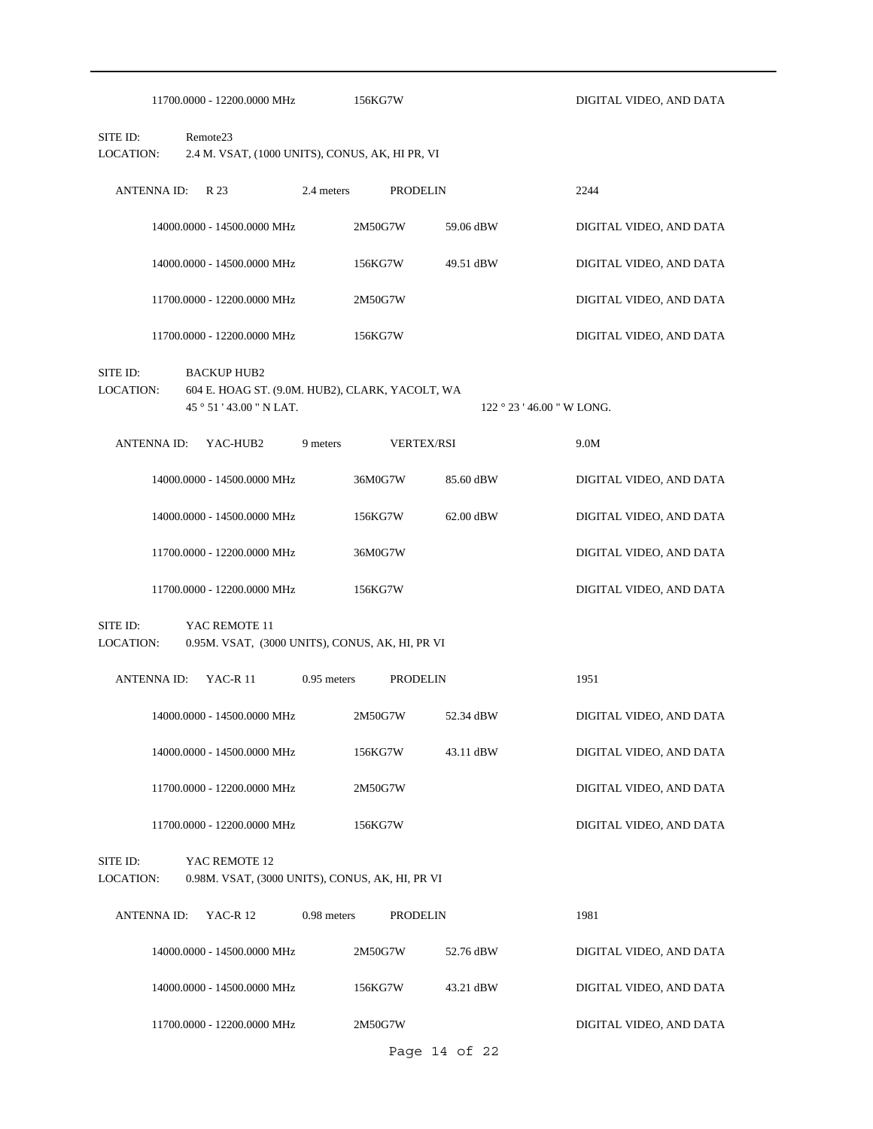|                              |                    | 11700.0000 - 12200.0000 MHz                                                                  |               | 156KG7W |                   |                                                | DIGITAL VIDEO, AND DATA |
|------------------------------|--------------------|----------------------------------------------------------------------------------------------|---------------|---------|-------------------|------------------------------------------------|-------------------------|
| SITE ID:<br>LOCATION:        |                    | Remote <sub>23</sub><br>2.4 M. VSAT, (1000 UNITS), CONUS, AK, HI PR, VI                      |               |         |                   |                                                |                         |
|                              | <b>ANTENNA ID:</b> | R 23                                                                                         | 2.4 meters    |         | <b>PRODELIN</b>   |                                                | 2244                    |
|                              |                    | 14000.0000 - 14500.0000 MHz                                                                  |               | 2M50G7W | 59.06 dBW         |                                                | DIGITAL VIDEO, AND DATA |
|                              |                    | 14000.0000 - 14500.0000 MHz                                                                  |               | 156KG7W | 49.51 dBW         |                                                | DIGITAL VIDEO, AND DATA |
|                              |                    | 11700.0000 - 12200.0000 MHz                                                                  |               | 2M50G7W |                   |                                                | DIGITAL VIDEO, AND DATA |
|                              |                    | 11700.0000 - 12200.0000 MHz                                                                  |               | 156KG7W |                   |                                                | DIGITAL VIDEO, AND DATA |
| SITE ID:<br>LOCATION:        |                    | <b>BACKUP HUB2</b><br>604 E. HOAG ST. (9.0M. HUB2), CLARK, YACOLT, WA<br>45°51'43.00" N LAT. |               |         |                   | $122 \degree 23 \degree 46.00 \degree W$ LONG. |                         |
|                              | <b>ANTENNA ID:</b> | YAC-HUB2                                                                                     | 9 meters      |         | <b>VERTEX/RSI</b> |                                                | 9.0M                    |
|                              |                    | 14000.0000 - 14500.0000 MHz                                                                  |               | 36M0G7W | 85.60 dBW         |                                                | DIGITAL VIDEO, AND DATA |
|                              |                    | 14000.0000 - 14500.0000 MHz                                                                  |               | 156KG7W | 62.00 dBW         |                                                | DIGITAL VIDEO, AND DATA |
|                              |                    | 11700.0000 - 12200.0000 MHz                                                                  |               | 36M0G7W |                   |                                                | DIGITAL VIDEO, AND DATA |
|                              |                    | 11700.0000 - 12200.0000 MHz                                                                  |               | 156KG7W |                   |                                                | DIGITAL VIDEO, AND DATA |
| SITE ID:<br><b>LOCATION:</b> |                    | YAC REMOTE 11<br>0.95M. VSAT, (3000 UNITS), CONUS, AK, HI, PR VI                             |               |         |                   |                                                |                         |
|                              | <b>ANTENNA ID:</b> | <b>YAC-R11</b>                                                                               | $0.95$ meters |         | <b>PRODELIN</b>   |                                                | 1951                    |
|                              |                    | 14000.0000 - 14500.0000 MHz                                                                  |               | 2M50G7W | 52.34 dBW         |                                                | DIGITAL VIDEO, AND DATA |
|                              |                    | 14000.0000 - 14500.0000 MHz                                                                  |               | 156KG7W | 43.11 dBW         |                                                | DIGITAL VIDEO, AND DATA |
|                              |                    | 11700.0000 - 12200.0000 MHz                                                                  |               | 2M50G7W |                   |                                                | DIGITAL VIDEO, AND DATA |
|                              |                    | 11700.0000 - 12200.0000 MHz                                                                  |               | 156KG7W |                   |                                                | DIGITAL VIDEO, AND DATA |
| SITE ID:<br>LOCATION:        |                    | YAC REMOTE 12<br>0.98M. VSAT, (3000 UNITS), CONUS, AK, HI, PR VI                             |               |         |                   |                                                |                         |
|                              | <b>ANTENNA ID:</b> | <b>YAC-R12</b>                                                                               | $0.98$ meters |         | <b>PRODELIN</b>   |                                                | 1981                    |
|                              |                    | 14000.0000 - 14500.0000 MHz                                                                  |               | 2M50G7W | 52.76 dBW         |                                                | DIGITAL VIDEO, AND DATA |
|                              |                    | 14000.0000 - 14500.0000 MHz                                                                  |               | 156KG7W | 43.21 dBW         |                                                | DIGITAL VIDEO, AND DATA |
|                              |                    | 11700.0000 - 12200.0000 MHz                                                                  |               | 2M50G7W |                   |                                                | DIGITAL VIDEO, AND DATA |
|                              |                    |                                                                                              |               |         | Page 14 of 22     |                                                |                         |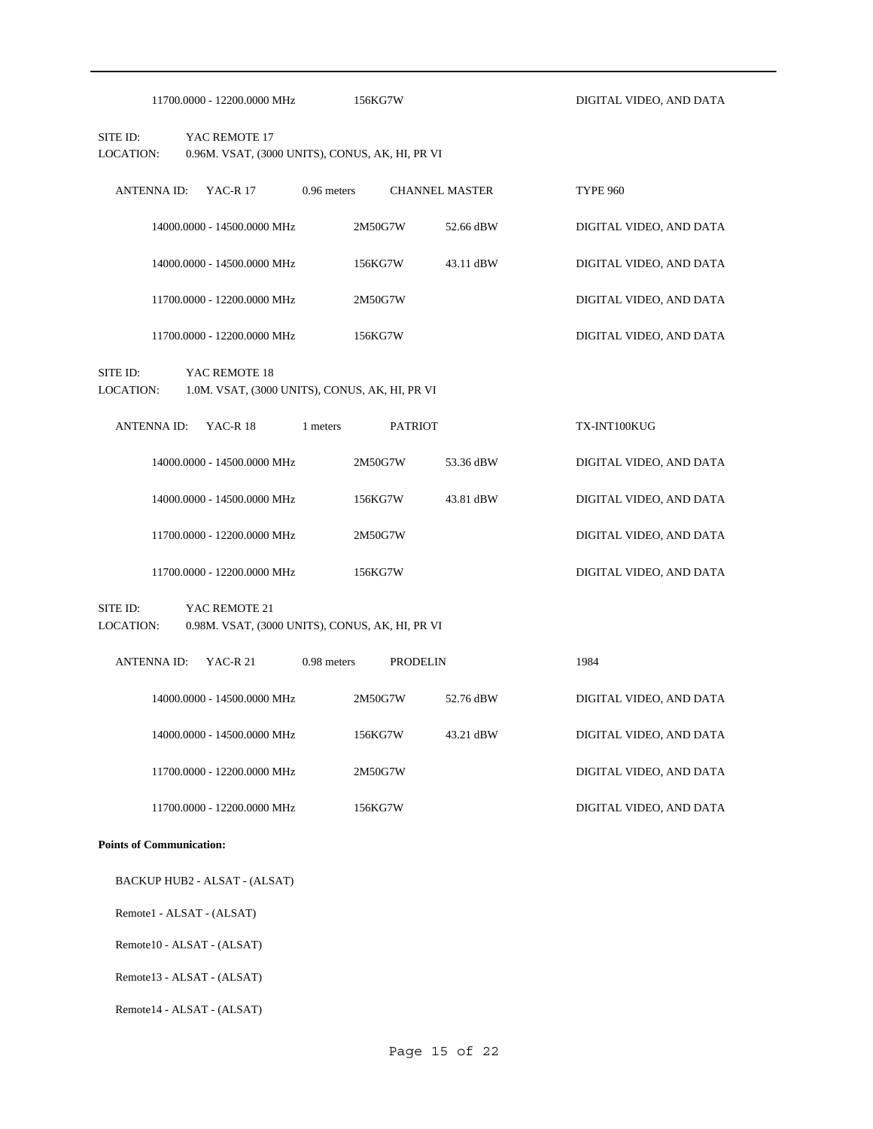| 11700.0000 - 12200.0000 MHz                                                                      | 156KG7W                                         |                       | DIGITAL VIDEO, AND DATA |  |  |
|--------------------------------------------------------------------------------------------------|-------------------------------------------------|-----------------------|-------------------------|--|--|
| SITE ID:<br>YAC REMOTE 17<br>LOCATION:                                                           | 0.96M. VSAT, (3000 UNITS), CONUS, AK, HI, PR VI |                       |                         |  |  |
| <b>ANTENNA ID:</b><br><b>YAC-R17</b><br>$0.96$ meters                                            |                                                 | <b>CHANNEL MASTER</b> | <b>TYPE 960</b>         |  |  |
| 14000.0000 - 14500.0000 MHz                                                                      | 2M50G7W                                         | 52.66 dBW             | DIGITAL VIDEO, AND DATA |  |  |
| 14000.0000 - 14500.0000 MHz                                                                      | 156KG7W                                         | 43.11 dBW             | DIGITAL VIDEO, AND DATA |  |  |
| 11700.0000 - 12200.0000 MHz                                                                      | 2M50G7W                                         |                       | DIGITAL VIDEO, AND DATA |  |  |
| 11700.0000 - 12200.0000 MHz                                                                      | 156KG7W                                         |                       | DIGITAL VIDEO, AND DATA |  |  |
| SITE ID:<br>YAC REMOTE 18<br>LOCATION:<br>1.0M. VSAT, (3000 UNITS), CONUS, AK, HI, PR VI         |                                                 |                       |                         |  |  |
| <b>YAC-R18</b><br><b>ANTENNA ID:</b><br>1 meters                                                 | <b>PATRIOT</b>                                  |                       | TX-INT100KUG            |  |  |
| 14000.0000 - 14500.0000 MHz                                                                      | 2M50G7W                                         | 53.36 dBW             | DIGITAL VIDEO, AND DATA |  |  |
| 14000.0000 - 14500.0000 MHz                                                                      | 156KG7W                                         | 43.81 dBW             | DIGITAL VIDEO, AND DATA |  |  |
| 11700.0000 - 12200.0000 MHz                                                                      | 2M50G7W                                         |                       | DIGITAL VIDEO, AND DATA |  |  |
| 11700.0000 - 12200.0000 MHz                                                                      | 156KG7W                                         |                       | DIGITAL VIDEO, AND DATA |  |  |
| SITE ID:<br>YAC REMOTE 21<br><b>LOCATION:</b><br>0.98M. VSAT, (3000 UNITS), CONUS, AK, HI, PR VI |                                                 |                       |                         |  |  |
| $0.98$ meters<br><b>ANTENNA ID:</b><br>YAC-R 21                                                  | <b>PRODELIN</b>                                 |                       | 1984                    |  |  |
| 14000.0000 - 14500.0000 MHz                                                                      | 2M50G7W                                         | 52.76 dBW             | DIGITAL VIDEO, AND DATA |  |  |
| 14000.0000 - 14500.0000 MHz                                                                      | 156KG7W                                         | 43.21 dBW             | DIGITAL VIDEO, AND DATA |  |  |
| 11700.0000 - 12200.0000 MHz                                                                      | 2M50G7W                                         |                       | DIGITAL VIDEO, AND DATA |  |  |

## **Points of Communication:**

BACKUP HUB2 - ALSAT - (ALSAT)

Remote1 - ALSAT - (ALSAT)

Remote10 - ALSAT - (ALSAT)

Remote13 - ALSAT - (ALSAT)

Remote14 - ALSAT - (ALSAT)

11700.0000 - 12200.0000 MHz 156KG7W DIGITAL VIDEO, AND DATA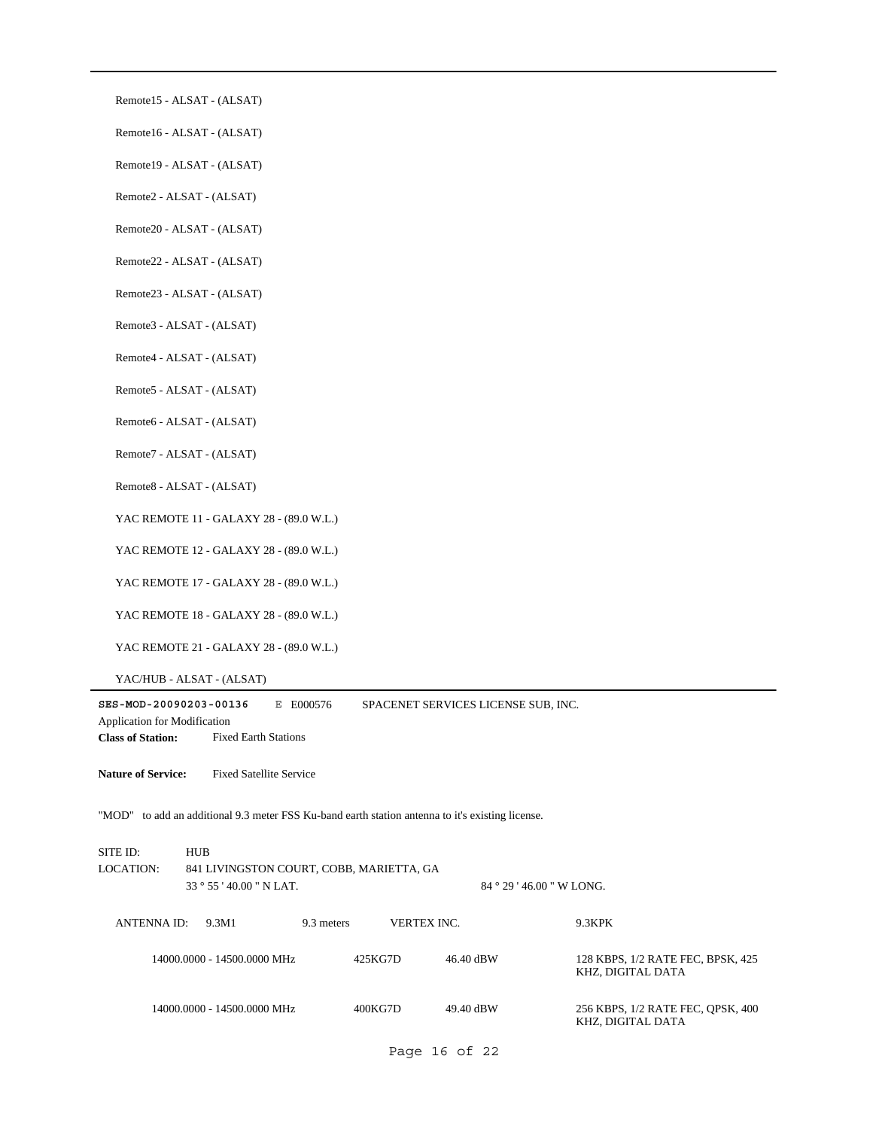Remote15 - ALSAT - (ALSAT)

Remote16 - ALSAT - (ALSAT)

Remote19 - ALSAT - (ALSAT)

Remote2 - ALSAT - (ALSAT)

Remote20 - ALSAT - (ALSAT)

Remote22 - ALSAT - (ALSAT)

Remote23 - ALSAT - (ALSAT)

Remote3 - ALSAT - (ALSAT)

Remote4 - ALSAT - (ALSAT)

Remote5 - ALSAT - (ALSAT)

Remote6 - ALSAT - (ALSAT)

Remote7 - ALSAT - (ALSAT)

Remote8 - ALSAT - (ALSAT)

YAC REMOTE 11 - GALAXY 28 - (89.0 W.L.)

YAC REMOTE 12 - GALAXY 28 - (89.0 W.L.)

YAC REMOTE 17 - GALAXY 28 - (89.0 W.L.)

YAC REMOTE 18 - GALAXY 28 - (89.0 W.L.)

YAC REMOTE 21 - GALAXY 28 - (89.0 W.L.)

YAC/HUB - ALSAT - (ALSAT)

**SES-MOD-20090203-00136** E E000576 **Class of Station:** Fixed Earth Stations Application for Modification SPACENET SERVICES LICENSE SUB, INC. **Nature of Service:** Fixed Satellite Service "MOD" to add an additional 9.3 meter FSS Ku-band earth station antenna to it's existing license. 33 ° 55 ' 40.00 " N LAT. SITE ID: HUB 841 LIVINGSTON COURT, COBB, MARIETTA, GA 84 ° 29 ' 46.00 " W LONG. LOCATION: ANTENNA ID: 9.3M1 9.3 meters VERTEX INC. 9.3KPK 46.40 dBW 128 KBPS, 1/2 RATE FEC, BPSK, 425 KHZ, DIGITAL DATA 14000.0000 - 14500.0000 MHz 425KG7D 49.40 dBW 256 KBPS, 1/2 RATE FEC, QPSK, 400 KHZ, DIGITAL DATA 14000.0000 - 14500.0000 MHz 400KG7D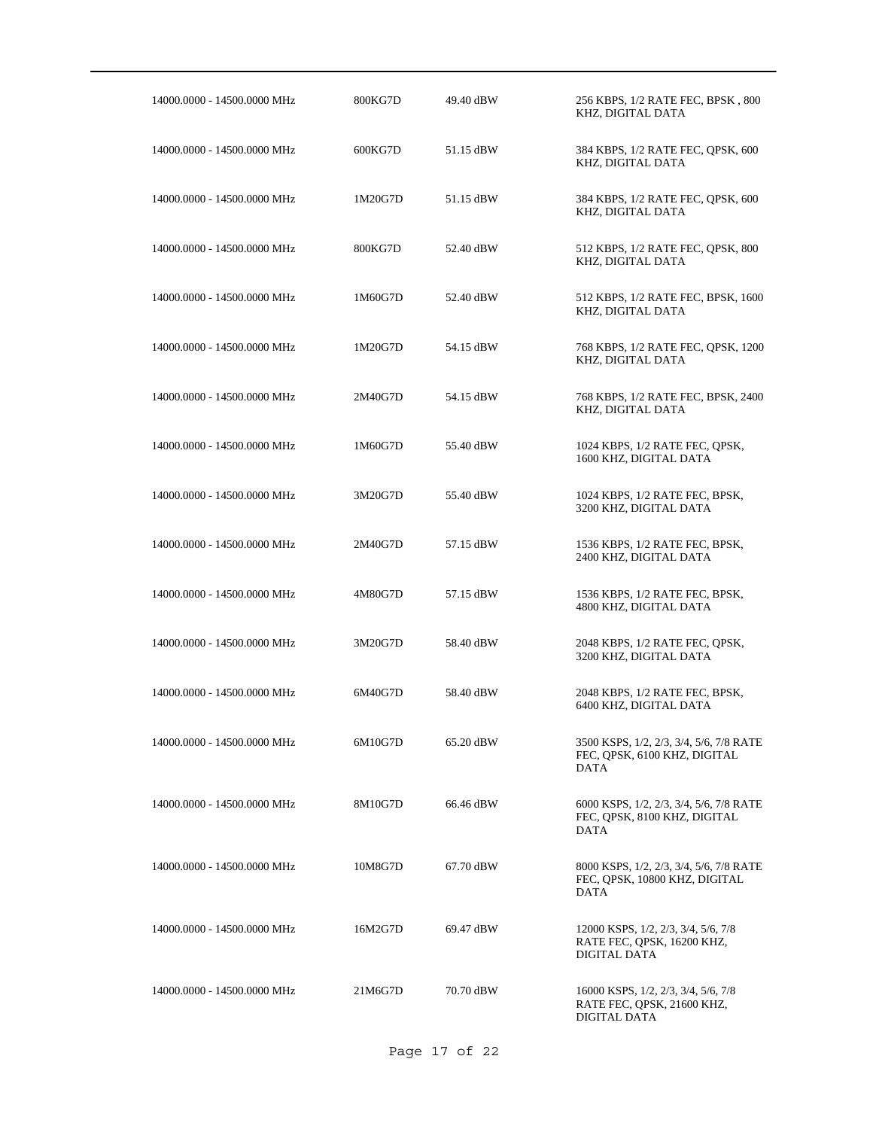| 14000.0000 - 14500.0000 MHz | 800KG7D | 49.40 dBW | 256 KBPS, 1/2 RATE FEC, BPSK, 800<br>KHZ, DIGITAL DATA                            |
|-----------------------------|---------|-----------|-----------------------------------------------------------------------------------|
| 14000.0000 - 14500.0000 MHz | 600KG7D | 51.15 dBW | 384 KBPS, 1/2 RATE FEC, QPSK, 600<br>KHZ, DIGITAL DATA                            |
| 14000.0000 - 14500.0000 MHz | 1M20G7D | 51.15 dBW | 384 KBPS, 1/2 RATE FEC, QPSK, 600<br>KHZ, DIGITAL DATA                            |
| 14000.0000 - 14500.0000 MHz | 800KG7D | 52.40 dBW | 512 KBPS, 1/2 RATE FEC, QPSK, 800<br>KHZ, DIGITAL DATA                            |
| 14000.0000 - 14500.0000 MHz | 1M60G7D | 52.40 dBW | 512 KBPS, 1/2 RATE FEC, BPSK, 1600<br>KHZ, DIGITAL DATA                           |
| 14000.0000 - 14500.0000 MHz | 1M20G7D | 54.15 dBW | 768 KBPS, 1/2 RATE FEC, QPSK, 1200<br>KHZ, DIGITAL DATA                           |
| 14000.0000 - 14500.0000 MHz | 2M40G7D | 54.15 dBW | 768 KBPS, 1/2 RATE FEC, BPSK, 2400<br>KHZ, DIGITAL DATA                           |
| 14000.0000 - 14500.0000 MHz | 1M60G7D | 55.40 dBW | 1024 KBPS, 1/2 RATE FEC, OPSK,<br>1600 KHZ, DIGITAL DATA                          |
| 14000.0000 - 14500.0000 MHz | 3M20G7D | 55.40 dBW | 1024 KBPS, 1/2 RATE FEC, BPSK,<br>3200 KHZ, DIGITAL DATA                          |
| 14000.0000 - 14500.0000 MHz | 2M40G7D | 57.15 dBW | 1536 KBPS, 1/2 RATE FEC, BPSK,<br>2400 KHZ, DIGITAL DATA                          |
| 14000.0000 - 14500.0000 MHz | 4M80G7D | 57.15 dBW | 1536 KBPS, 1/2 RATE FEC, BPSK,<br>4800 KHZ, DIGITAL DATA                          |
| 14000.0000 - 14500.0000 MHz | 3M20G7D | 58.40 dBW | 2048 KBPS, 1/2 RATE FEC, OPSK,<br>3200 KHZ, DIGITAL DATA                          |
| 14000.0000 - 14500.0000 MHz | 6M40G7D | 58.40 dBW | 2048 KBPS, 1/2 RATE FEC, BPSK,<br>6400 KHZ, DIGITAL DATA                          |
| 14000.0000 - 14500.0000 MHz | 6M10G7D | 65.20 dBW | 3500 KSPS, 1/2, 2/3, 3/4, 5/6, 7/8 RATE<br>FEC, OPSK, 6100 KHZ, DIGITAL<br>DATA   |
| 14000.0000 - 14500.0000 MHz | 8M10G7D | 66.46 dBW | 6000 KSPS, 1/2, 2/3, 3/4, 5/6, 7/8 RATE<br>FEC, QPSK, 8100 KHZ, DIGITAL<br>DATA   |
| 14000.0000 - 14500.0000 MHz | 10M8G7D | 67.70 dBW | 8000 KSPS, 1/2, 2/3, 3/4, 5/6, 7/8 RATE<br>FEC, OPSK, 10800 KHZ, DIGITAL<br>DATA  |
| 14000.0000 - 14500.0000 MHz | 16M2G7D | 69.47 dBW | 12000 KSPS, 1/2, 2/3, 3/4, 5/6, 7/8<br>RATE FEC, QPSK, 16200 KHZ,<br>DIGITAL DATA |
| 14000.0000 - 14500.0000 MHz | 21M6G7D | 70.70 dBW | 16000 KSPS, 1/2, 2/3, 3/4, 5/6, 7/8<br>RATE FEC, QPSK, 21600 KHZ,<br>DIGITAL DATA |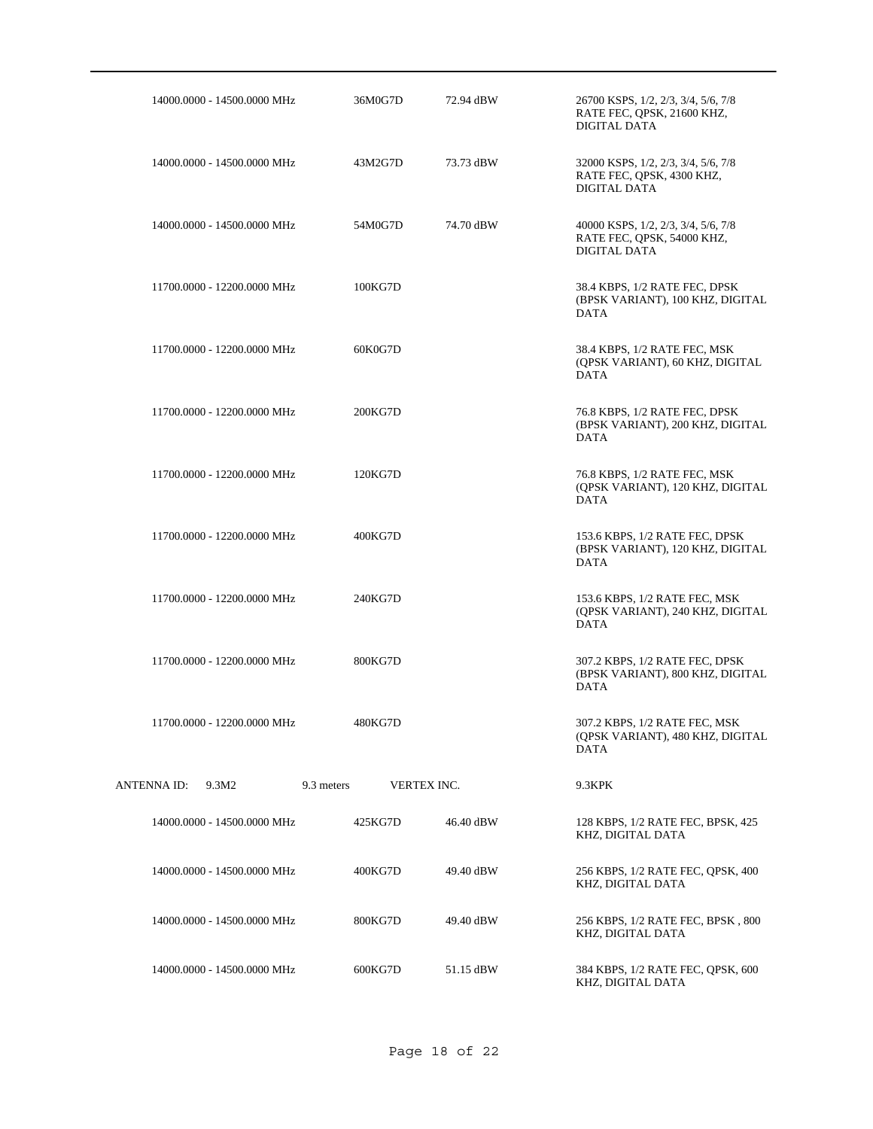|             | 14000.0000 - 14500.0000 MHz |            | 36M0G7D     | 72.94 dBW | 26700 KSPS, 1/2, 2/3, 3/4, 5/6, 7/8<br>RATE FEC, QPSK, 21600 KHZ,<br>DIGITAL DATA |
|-------------|-----------------------------|------------|-------------|-----------|-----------------------------------------------------------------------------------|
|             | 14000.0000 - 14500.0000 MHz |            | 43M2G7D     | 73.73 dBW | 32000 KSPS, 1/2, 2/3, 3/4, 5/6, 7/8<br>RATE FEC, QPSK, 4300 KHZ,<br>DIGITAL DATA  |
|             | 14000.0000 - 14500.0000 MHz |            | 54M0G7D     | 74.70 dBW | 40000 KSPS, 1/2, 2/3, 3/4, 5/6, 7/8<br>RATE FEC, QPSK, 54000 KHZ,<br>DIGITAL DATA |
|             | 11700.0000 - 12200.0000 MHz |            | 100KG7D     |           | 38.4 KBPS, 1/2 RATE FEC, DPSK<br>(BPSK VARIANT), 100 KHZ, DIGITAL<br><b>DATA</b>  |
|             | 11700.0000 - 12200.0000 MHz |            | 60K0G7D     |           | 38.4 KBPS, 1/2 RATE FEC, MSK<br>(QPSK VARIANT), 60 KHZ, DIGITAL<br><b>DATA</b>    |
|             | 11700.0000 - 12200.0000 MHz |            | 200KG7D     |           | 76.8 KBPS, 1/2 RATE FEC, DPSK<br>(BPSK VARIANT), 200 KHZ, DIGITAL<br><b>DATA</b>  |
|             | 11700.0000 - 12200.0000 MHz |            | 120KG7D     |           | 76.8 KBPS, 1/2 RATE FEC, MSK<br>(OPSK VARIANT), 120 KHZ, DIGITAL<br><b>DATA</b>   |
|             | 11700.0000 - 12200.0000 MHz |            | 400KG7D     |           | 153.6 KBPS, 1/2 RATE FEC, DPSK<br>(BPSK VARIANT), 120 KHZ, DIGITAL<br><b>DATA</b> |
|             | 11700.0000 - 12200.0000 MHz |            | 240KG7D     |           | 153.6 KBPS, 1/2 RATE FEC, MSK<br>(QPSK VARIANT), 240 KHZ, DIGITAL<br><b>DATA</b>  |
|             | 11700.0000 - 12200.0000 MHz |            | 800KG7D     |           | 307.2 KBPS, 1/2 RATE FEC, DPSK<br>(BPSK VARIANT), 800 KHZ, DIGITAL<br>DATA        |
|             | 11700.0000 - 12200.0000 MHz |            | 480KG7D     |           | 307.2 KBPS, 1/2 RATE FEC, MSK<br>(QPSK VARIANT), 480 KHZ, DIGITAL<br><b>DATA</b>  |
| ANTENNA ID: | 9.3M2                       | 9.3 meters | VERTEX INC. |           | 9.3KPK                                                                            |
|             | 14000.0000 - 14500.0000 MHz |            | 425KG7D     | 46.40 dBW | 128 KBPS, 1/2 RATE FEC, BPSK, 425<br>KHZ, DIGITAL DATA                            |
|             | 14000.0000 - 14500.0000 MHz |            | 400KG7D     | 49.40 dBW | 256 KBPS, 1/2 RATE FEC, OPSK, 400<br>KHZ, DIGITAL DATA                            |
|             | 14000.0000 - 14500.0000 MHz |            | 800KG7D     | 49.40 dBW | 256 KBPS, 1/2 RATE FEC, BPSK, 800<br>KHZ, DIGITAL DATA                            |
|             | 14000.0000 - 14500.0000 MHz |            | 600KG7D     | 51.15 dBW | 384 KBPS, 1/2 RATE FEC, QPSK, 600<br>KHZ, DIGITAL DATA                            |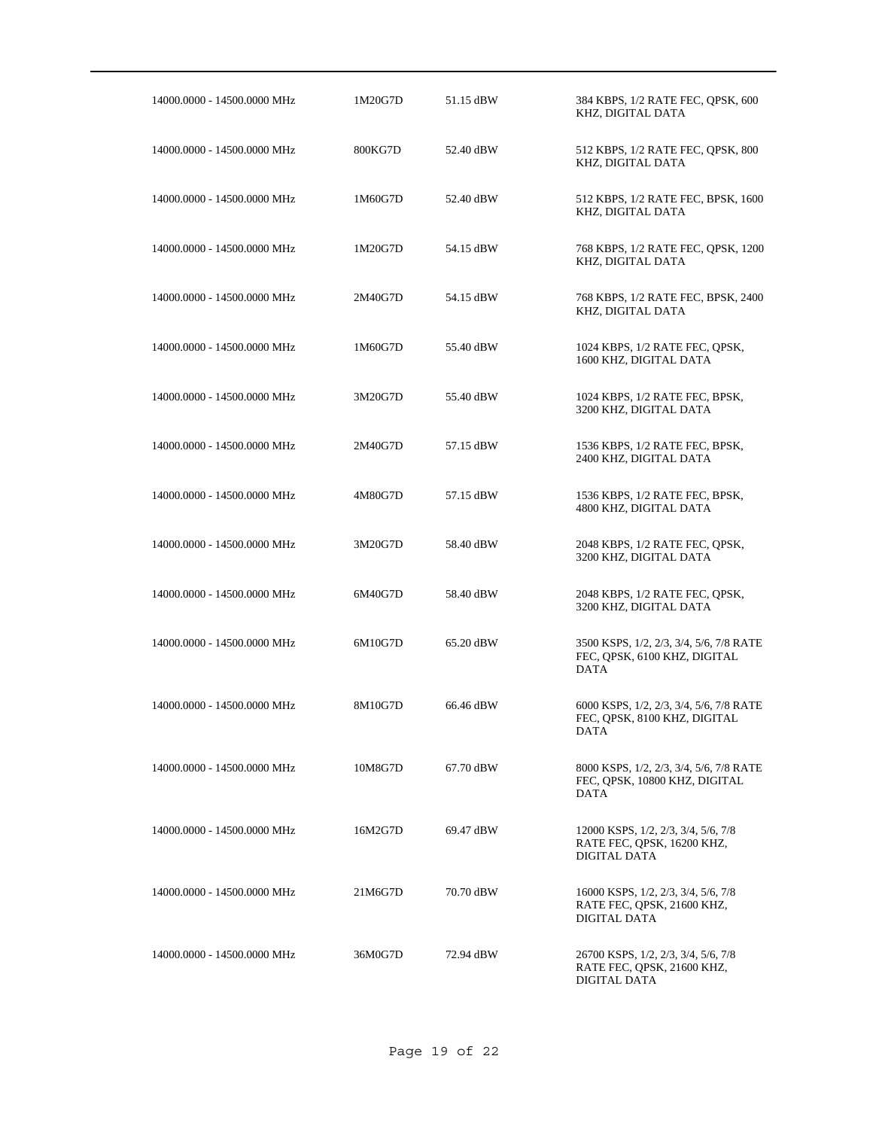| 14000.0000 - 14500.0000 MHz | 1M20G7D | 51.15 dBW | 384 KBPS, 1/2 RATE FEC, QPSK, 600<br>KHZ, DIGITAL DATA                                 |
|-----------------------------|---------|-----------|----------------------------------------------------------------------------------------|
| 14000.0000 - 14500.0000 MHz | 800KG7D | 52.40 dBW | 512 KBPS, 1/2 RATE FEC, QPSK, 800<br>KHZ, DIGITAL DATA                                 |
| 14000.0000 - 14500.0000 MHz | 1M60G7D | 52.40 dBW | 512 KBPS, 1/2 RATE FEC, BPSK, 1600<br>KHZ, DIGITAL DATA                                |
| 14000.0000 - 14500.0000 MHz | 1M20G7D | 54.15 dBW | 768 KBPS, 1/2 RATE FEC, QPSK, 1200<br>KHZ, DIGITAL DATA                                |
| 14000.0000 - 14500.0000 MHz | 2M40G7D | 54.15 dBW | 768 KBPS, 1/2 RATE FEC, BPSK, 2400<br>KHZ, DIGITAL DATA                                |
| 14000.0000 - 14500.0000 MHz | 1M60G7D | 55.40 dBW | 1024 KBPS, 1/2 RATE FEC, QPSK,<br>1600 KHZ, DIGITAL DATA                               |
| 14000.0000 - 14500.0000 MHz | 3M20G7D | 55.40 dBW | 1024 KBPS, 1/2 RATE FEC, BPSK,<br>3200 KHZ, DIGITAL DATA                               |
| 14000.0000 - 14500.0000 MHz | 2M40G7D | 57.15 dBW | 1536 KBPS, 1/2 RATE FEC, BPSK,<br>2400 KHZ, DIGITAL DATA                               |
| 14000.0000 - 14500.0000 MHz | 4M80G7D | 57.15 dBW | 1536 KBPS, 1/2 RATE FEC, BPSK,<br>4800 KHZ, DIGITAL DATA                               |
| 14000.0000 - 14500.0000 MHz | 3M20G7D | 58.40 dBW | 2048 KBPS, 1/2 RATE FEC, QPSK,<br>3200 KHZ, DIGITAL DATA                               |
| 14000.0000 - 14500.0000 MHz | 6M40G7D | 58.40 dBW | 2048 KBPS, 1/2 RATE FEC, QPSK,<br>3200 KHZ, DIGITAL DATA                               |
| 14000.0000 - 14500.0000 MHz | 6M10G7D | 65.20 dBW | 3500 KSPS, 1/2, 2/3, 3/4, 5/6, 7/8 RATE<br>FEC, QPSK, 6100 KHZ, DIGITAL<br><b>DATA</b> |
| 14000.0000 - 14500.0000 MHz | 8M10G7D | 66.46 dBW | 6000 KSPS, 1/2, 2/3, 3/4, 5/6, 7/8 RATE<br>FEC, QPSK, 8100 KHZ, DIGITAL<br>DATA        |
| 14000.0000 - 14500.0000 MHz | 10M8G7D | 67.70 dBW | 8000 KSPS, 1/2, 2/3, 3/4, 5/6, 7/8 RATE<br>FEC, OPSK, 10800 KHZ, DIGITAL<br>DATA       |
| 14000.0000 - 14500.0000 MHz | 16M2G7D | 69.47 dBW | 12000 KSPS, 1/2, 2/3, 3/4, 5/6, 7/8<br>RATE FEC, QPSK, 16200 KHZ,<br>DIGITAL DATA      |
| 14000.0000 - 14500.0000 MHz | 21M6G7D | 70.70 dBW | 16000 KSPS, 1/2, 2/3, 3/4, 5/6, 7/8<br>RATE FEC, QPSK, 21600 KHZ,<br>DIGITAL DATA      |
| 14000.0000 - 14500.0000 MHz | 36M0G7D | 72.94 dBW | 26700 KSPS, 1/2, 2/3, 3/4, 5/6, 7/8<br>RATE FEC, QPSK, 21600 KHZ,<br>DIGITAL DATA      |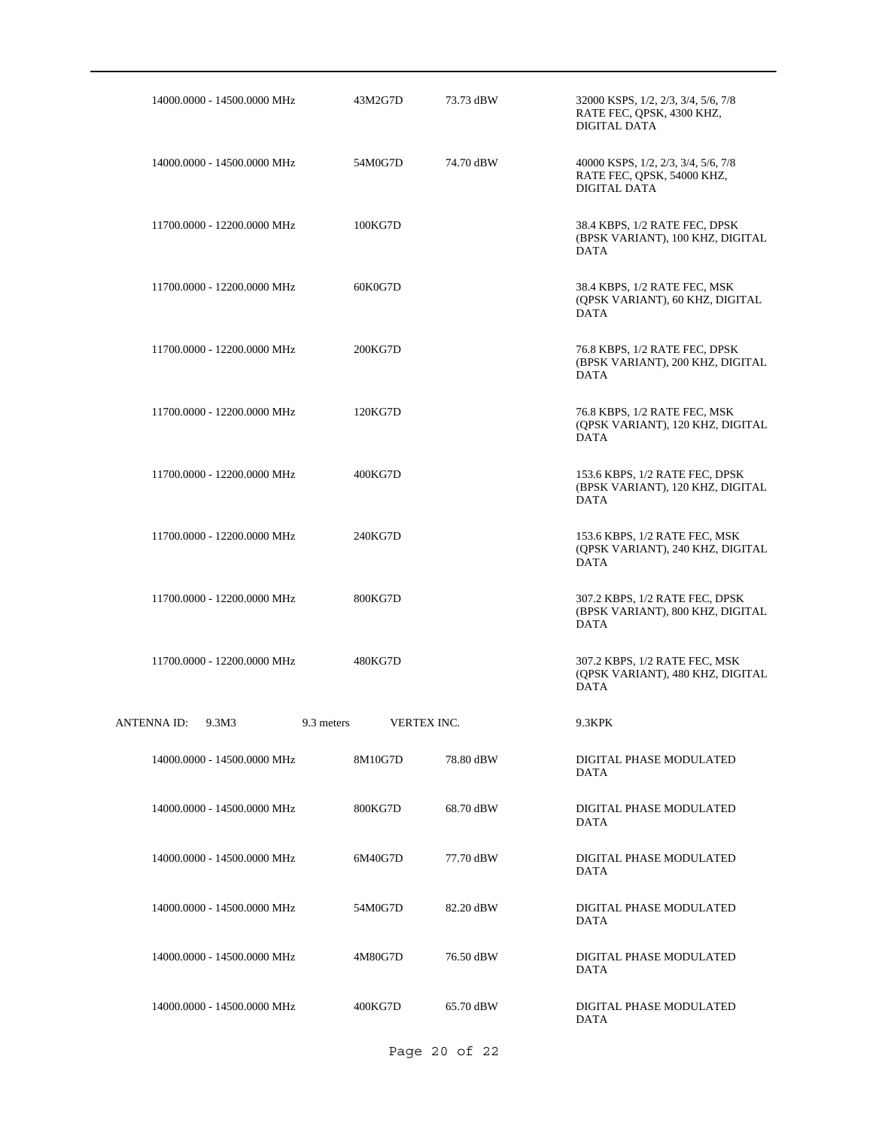|                   | 14000.0000 - 14500.0000 MHz |            | 43M2G7D |             | 73.73 dBW | 32000 KSPS, 1/2, 2/3, 3/4, 5/6, 7/8<br>RATE FEC, QPSK, 4300 KHZ,<br>DIGITAL DATA  |
|-------------------|-----------------------------|------------|---------|-------------|-----------|-----------------------------------------------------------------------------------|
|                   | 14000.0000 - 14500.0000 MHz |            | 54M0G7D |             | 74.70 dBW | 40000 KSPS, 1/2, 2/3, 3/4, 5/6, 7/8<br>RATE FEC, QPSK, 54000 KHZ,<br>DIGITAL DATA |
|                   | 11700.0000 - 12200.0000 MHz |            | 100KG7D |             |           | 38.4 KBPS, 1/2 RATE FEC, DPSK<br>(BPSK VARIANT), 100 KHZ, DIGITAL<br><b>DATA</b>  |
|                   | 11700.0000 - 12200.0000 MHz |            | 60K0G7D |             |           | 38.4 KBPS, 1/2 RATE FEC, MSK<br>(QPSK VARIANT), 60 KHZ, DIGITAL<br><b>DATA</b>    |
|                   | 11700.0000 - 12200.0000 MHz |            | 200KG7D |             |           | 76.8 KBPS, 1/2 RATE FEC, DPSK<br>(BPSK VARIANT), 200 KHZ, DIGITAL<br><b>DATA</b>  |
|                   | 11700.0000 - 12200.0000 MHz |            | 120KG7D |             |           | 76.8 KBPS, 1/2 RATE FEC, MSK<br>(OPSK VARIANT), 120 KHZ, DIGITAL<br><b>DATA</b>   |
|                   | 11700.0000 - 12200.0000 MHz |            | 400KG7D |             |           | 153.6 KBPS, 1/2 RATE FEC, DPSK<br>(BPSK VARIANT), 120 KHZ, DIGITAL<br><b>DATA</b> |
|                   | 11700.0000 - 12200.0000 MHz |            | 240KG7D |             |           | 153.6 KBPS, 1/2 RATE FEC, MSK<br>(QPSK VARIANT), 240 KHZ, DIGITAL<br><b>DATA</b>  |
|                   | 11700.0000 - 12200.0000 MHz |            | 800KG7D |             |           | 307.2 KBPS, 1/2 RATE FEC, DPSK<br>(BPSK VARIANT), 800 KHZ, DIGITAL<br><b>DATA</b> |
|                   | 11700.0000 - 12200.0000 MHz |            | 480KG7D |             |           | 307.2 KBPS, 1/2 RATE FEC, MSK<br>(QPSK VARIANT), 480 KHZ, DIGITAL<br>DATA         |
| ANTENNA ID: 9.3M3 |                             | 9.3 meters |         | VERTEX INC. |           | 9.3KPK                                                                            |
|                   | 14000.0000 - 14500.0000 MHz |            | 8M10G7D |             | 78.80 dBW | DIGITAL PHASE MODULATED<br><b>DATA</b>                                            |
|                   | 14000.0000 - 14500.0000 MHz |            | 800KG7D |             | 68.70 dBW | DIGITAL PHASE MODULATED<br><b>DATA</b>                                            |
|                   | 14000.0000 - 14500.0000 MHz |            | 6M40G7D |             | 77.70 dBW | DIGITAL PHASE MODULATED<br><b>DATA</b>                                            |
|                   | 14000.0000 - 14500.0000 MHz |            | 54M0G7D |             | 82.20 dBW | DIGITAL PHASE MODULATED<br><b>DATA</b>                                            |
|                   | 14000.0000 - 14500.0000 MHz |            | 4M80G7D |             | 76.50 dBW | DIGITAL PHASE MODULATED<br><b>DATA</b>                                            |
|                   | 14000.0000 - 14500.0000 MHz |            | 400KG7D |             | 65.70 dBW | DIGITAL PHASE MODULATED<br><b>DATA</b>                                            |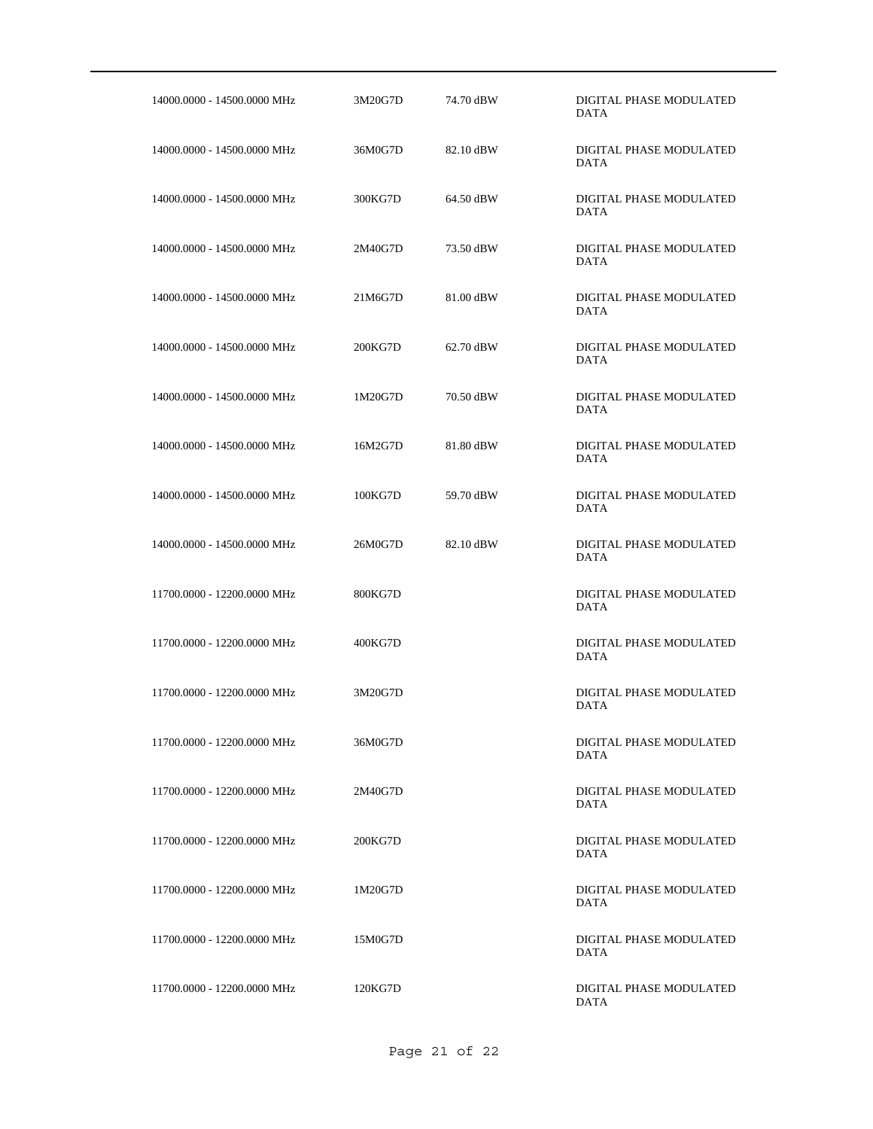| 14000.0000 - 14500.0000 MHz | 3M20G7D | 74.70 dBW | DIGITAL PHASE MODULATED<br><b>DATA</b> |
|-----------------------------|---------|-----------|----------------------------------------|
| 14000.0000 - 14500.0000 MHz | 36M0G7D | 82.10 dBW | DIGITAL PHASE MODULATED<br><b>DATA</b> |
| 14000.0000 - 14500.0000 MHz | 300KG7D | 64.50 dBW | DIGITAL PHASE MODULATED<br><b>DATA</b> |
| 14000.0000 - 14500.0000 MHz | 2M40G7D | 73.50 dBW | DIGITAL PHASE MODULATED<br><b>DATA</b> |
| 14000.0000 - 14500.0000 MHz | 21M6G7D | 81.00 dBW | DIGITAL PHASE MODULATED<br><b>DATA</b> |
| 14000.0000 - 14500.0000 MHz | 200KG7D | 62.70 dBW | DIGITAL PHASE MODULATED<br><b>DATA</b> |
| 14000.0000 - 14500.0000 MHz | 1M20G7D | 70.50 dBW | DIGITAL PHASE MODULATED<br><b>DATA</b> |
| 14000.0000 - 14500.0000 MHz | 16M2G7D | 81.80 dBW | DIGITAL PHASE MODULATED<br><b>DATA</b> |
| 14000.0000 - 14500.0000 MHz | 100KG7D | 59.70 dBW | DIGITAL PHASE MODULATED<br><b>DATA</b> |
| 14000.0000 - 14500.0000 MHz | 26M0G7D | 82.10 dBW | DIGITAL PHASE MODULATED<br><b>DATA</b> |
| 11700.0000 - 12200.0000 MHz | 800KG7D |           | DIGITAL PHASE MODULATED<br><b>DATA</b> |
| 11700.0000 - 12200.0000 MHz | 400KG7D |           | DIGITAL PHASE MODULATED<br><b>DATA</b> |
| 11700.0000 - 12200.0000 MHz | 3M20G7D |           | DIGITAL PHASE MODULATED<br><b>DATA</b> |
| 11700.0000 - 12200.0000 MHz | 36M0G7D |           | DIGITAL PHASE MODULATED<br>DATA        |
| 11700.0000 - 12200.0000 MHz | 2M40G7D |           | DIGITAL PHASE MODULATED<br>DATA        |
| 11700.0000 - 12200.0000 MHz | 200KG7D |           | DIGITAL PHASE MODULATED<br><b>DATA</b> |
| 11700.0000 - 12200.0000 MHz | 1M20G7D |           | DIGITAL PHASE MODULATED<br><b>DATA</b> |
| 11700.0000 - 12200.0000 MHz | 15M0G7D |           | DIGITAL PHASE MODULATED<br>DATA        |
| 11700.0000 - 12200.0000 MHz | 120KG7D |           | DIGITAL PHASE MODULATED<br>DATA        |